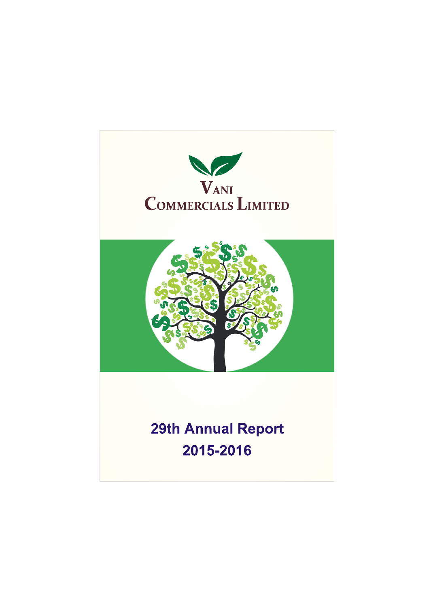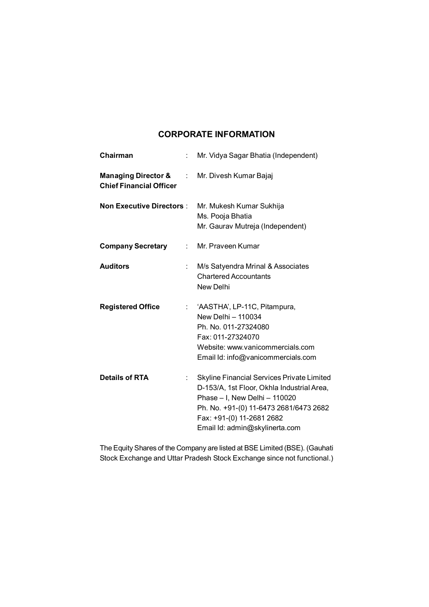# **CORPORATE INFORMATION**

| Chairman<br>$\ddot{\phantom{a}}$                                         | Mr. Vidya Sagar Bhatia (Independent)                                                                                                                                                                                               |
|--------------------------------------------------------------------------|------------------------------------------------------------------------------------------------------------------------------------------------------------------------------------------------------------------------------------|
| <b>Managing Director &amp; Fig. 3.</b><br><b>Chief Financial Officer</b> | Mr. Divesh Kumar Bajaj                                                                                                                                                                                                             |
| <b>Non Executive Directors:</b>                                          | Mr. Mukesh Kumar Sukhija<br>Ms. Pooja Bhatia<br>Mr. Gaurav Mutreja (Independent)                                                                                                                                                   |
| <b>Company Secretary</b><br>t.                                           | Mr. Praveen Kumar                                                                                                                                                                                                                  |
| <b>Auditors</b><br>÷                                                     | M/s Satyendra Mrinal & Associates<br><b>Chartered Accountants</b><br>New Delhi                                                                                                                                                     |
| <b>Registered Office</b><br>$\mathbb{R}^{\mathbb{Z}}$                    | 'AASTHA', LP-11C, Pitampura,<br>New Delhi - 110034<br>Ph. No. 011-27324080<br>Fax: 011-27324070<br>Website: www.vanicommercials.com<br>Email Id: info@vanicommercials.com                                                          |
| <b>Details of RTA</b><br>t.                                              | Skyline Financial Services Private Limited<br>D-153/A, 1st Floor, Okhla Industrial Area,<br>Phase - I, New Delhi - 110020<br>Ph. No. +91-(0) 11-6473 2681/6473 2682<br>Fax: +91-(0) 11-2681 2682<br>Email Id: admin@skylinerta.com |

The Equity Shares of the Company are listed at BSE Limited (BSE). (Gauhati Stock Exchange and Uttar Pradesh Stock Exchange since not functional.)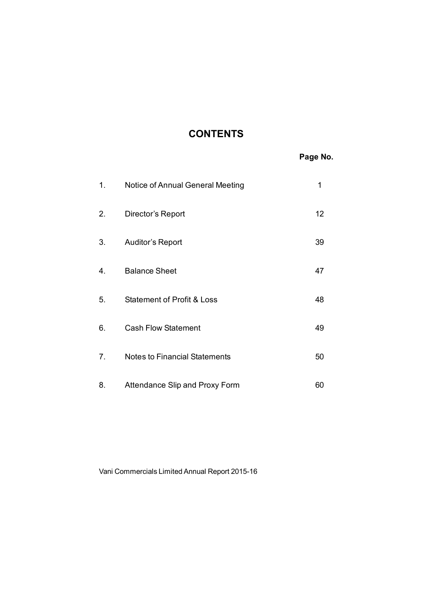# **CONTENTS**

|    |                                       | Page No. |
|----|---------------------------------------|----------|
| 1. | Notice of Annual General Meeting      | 1        |
| 2. | Director's Report                     | 12       |
| 3. | Auditor's Report                      | 39       |
| 4. | <b>Balance Sheet</b>                  | 47       |
| 5. | <b>Statement of Profit &amp; Loss</b> | 48       |
| 6. | <b>Cash Flow Statement</b>            | 49       |
| 7. | <b>Notes to Financial Statements</b>  | 50       |
| 8. | Attendance Slip and Proxy Form        | 60       |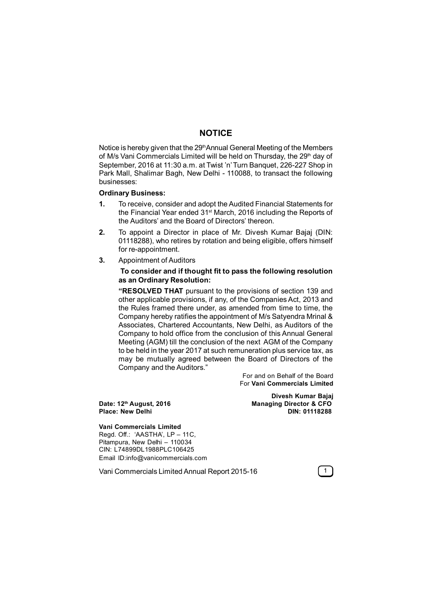## **NOTICE**

Notice is hereby given that the 29<sup>th</sup>Annual General Meeting of the Members of M/s Vani Commercials Limited will be held on Thursday, the 29<sup>th</sup> day of September, 2016 at 11:30 a.m. at Twist 'n' Turn Banquet, 226-227 Shop in Park Mall, Shalimar Bagh, New Delhi - 110088, to transact the following businesses:

#### **Ordinary Business:**

- **1.** To receive, consider and adopt the Audited Financial Statements for the Financial Year ended 31<sup>st</sup> March, 2016 including the Reports of the Auditors' and the Board of Directors' thereon.
- **2.** To appoint a Director in place of Mr. Divesh Kumar Bajaj (DIN: 01118288), who retires by rotation and being eligible, offers himself for re-appointment.
- **3.** Appointment of Auditors

## **To consider and if thought fit to pass the following resolution as an Ordinary Resolution:**

**"RESOLVED THAT** pursuant to the provisions of section 139 and other applicable provisions, if any, of the Companies Act, 2013 and the Rules framed there under, as amended from time to time, the Company hereby ratifies the appointment of M/s Satyendra Mrinal & Associates, Chartered Accountants, New Delhi, as Auditors of the Company to hold office from the conclusion of this Annual General Meeting (AGM) till the conclusion of the next AGM of the Company to be held in the year 2017 at such remuneration plus service tax, as may be mutually agreed between the Board of Directors of the Company and the Auditors."

> For and on Behalf of the Board For **Vani Commercials Limited**

**Place: New Delhi** 

**Divesh Kumar Bajaj Date: 12th August, 2016 Managing Director & CFO**

#### **Vani Commercials Limited**

Regd. Off.: 'AASTHA', LP – 11C, Pitampura, New Delhi – 110034 CIN: L74899DL1988PLC106425 Email ID:info@vanicommercials.com

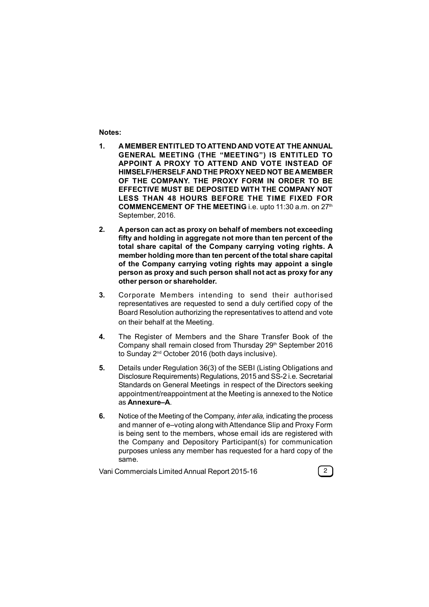### **Notes:**

- **1. A MEMBER ENTITLED TO ATTEND AND VOTE AT THE ANNUAL GENERAL MEETING (THE "MEETING") IS ENTITLED TO APPOINT A PROXY TO ATTEND AND VOTE INSTEAD OF HIMSELF/HERSELF AND THE PROXY NEED NOT BE A MEMBER OF THE COMPANY. THE PROXY FORM IN ORDER TO BE EFFECTIVE MUST BE DEPOSITED WITH THE COMPANY NOT LESS THAN 48 HOURS BEFORE THE TIME FIXED FOR COMMENCEMENT OF THE MEETING** i.e. upto 11:30 a.m. on 27<sup>th</sup> September, 2016.
- **2. A person can act as proxy on behalf of members not exceeding fifty and holding in aggregate not more than ten percent of the total share capital of the Company carrying voting rights. A member holding more than ten percent of the total share capital of the Company carrying voting rights may appoint a single person as proxy and such person shall not act as proxy for any other person or shareholder.**
- **3.** Corporate Members intending to send their authorised representatives are requested to send a duly certified copy of the Board Resolution authorizing the representatives to attend and vote on their behalf at the Meeting.
- **4.** The Register of Members and the Share Transfer Book of the Company shall remain closed from Thursday 29<sup>th</sup> September 2016 to Sunday 2<sup>nd</sup> October 2016 (both days inclusive).
- **5.** Details under Regulation 36(3) of the SEBI (Listing Obligations and Disclosure Requirements) Regulations, 2015 and SS-2 i.e. Secretarial Standards on General Meetings in respect of the Directors seeking appointment/reappointment at the Meeting is annexed to the Notice as **Annexure–A**.
- **6.** Notice of the Meeting of the Company, *inter alia,* indicating the process and manner of e–voting along with Attendance Slip and Proxy Form is being sent to the members, whose email ids are registered with the Company and Depository Participant(s) for communication purposes unless any member has requested for a hard copy of the same.

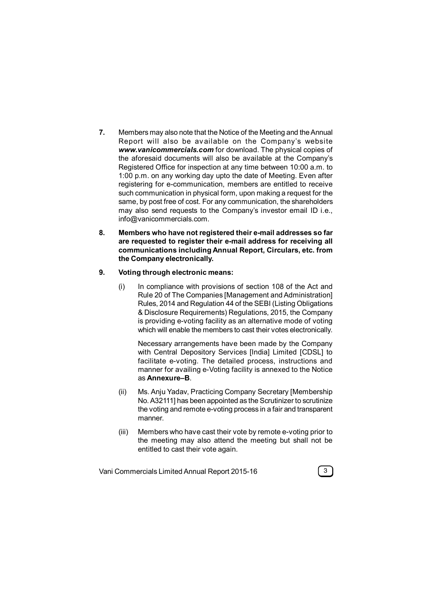- **7.** Members may also note that the Notice of the Meeting and the Annual Report will also be av ailable on the Company's website *www.vanicommercials.com* for download. The physical copies of the aforesaid documents will also be available at the Company's Registered Office for inspection at any time between 10:00 a.m. to 1:00 p.m. on any working day upto the date of Meeting. Even after registering for e-communication, members are entitled to receive such communication in physical form, upon making a request for the same, by post free of cost. For any communication, the shareholders may also send requests to the Company's investor email ID i.e., info@vanicommercials.com.
- **8. Members who have not registered their e-mail addresses so far are requested to register their e-mail address for receiving all communications including Annual Report, Circulars, etc. from the Company electronically.**

## **9. Voting through electronic means:**

(i) In compliance with provisions of section 108 of the Act and Rule 20 of The Companies [Management and Administration] Rules, 2014 and Regulation 44 of the SEBI (Listing Obligations & Disclosure Requirements) Regulations, 2015, the Company is providing e-voting facility as an alternative mode of voting which will enable the members to cast their votes electronically.

Necessary arrangements have been made by the Company with Central Depository Services [India] Limited [CDSL] to facilitate e-voting. The detailed process, instructions and manner for availing e-Voting facility is annexed to the Notice as **Annexure–B**.

- (ii) Ms. Anju Yadav, Practicing Company Secretary [Membership No. A32111] has been appointed as the Scrutinizer to scrutinize the voting and remote e-voting process in a fair and transparent manner.
- (iii) Members who have cast their vote by remote e-voting prior to the meeting may also attend the meeting but shall not be entitled to cast their vote again.

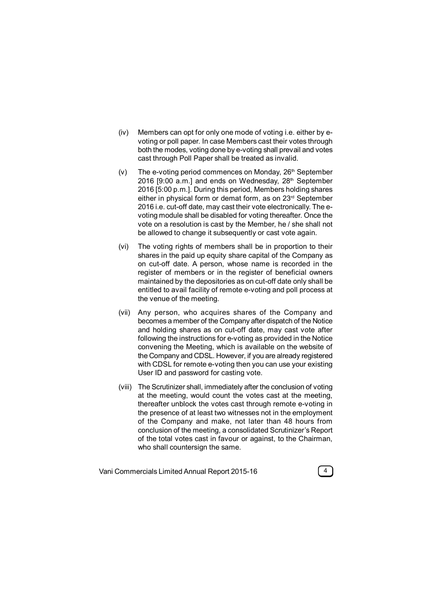- (iv) Members can opt for only one mode of voting i.e. either by evoting or poll paper. In case Members cast their votes through both the modes, voting done by e-voting shall prevail and votes cast through Poll Paper shall be treated as invalid.
- $(v)$  The e-voting period commences on Monday,  $26<sup>th</sup>$  September 2016 [9:00 a.m.] and ends on Wednesday, 28<sup>th</sup> September 2016 [5:00 p.m.]. During this period, Members holding shares either in physical form or demat form, as on 23rd September 2016 i.e. cut-off date, may cast their vote electronically. The evoting module shall be disabled for voting thereafter. Once the vote on a resolution is cast by the Member, he / she shall not be allowed to change it subsequently or cast vote again.
- (vi) The voting rights of members shall be in proportion to their shares in the paid up equity share capital of the Company as on cut-off date. A person, whose name is recorded in the register of members or in the register of beneficial owners maintained by the depositories as on cut-off date only shall be entitled to avail facility of remote e-voting and poll process at the venue of the meeting.
- (vii) Any person, who acquires shares of the Company and becomes a member of the Company after dispatch of the Notice and holding shares as on cut-off date, may cast vote after following the instructions for e-voting as provided in the Notice convening the Meeting, which is available on the website of the Company and CDSL. However, if you are already registered with CDSL for remote e-voting then you can use your existing User ID and password for casting vote.
- (viii) The Scrutinizer shall, immediately after the conclusion of voting at the meeting, would count the votes cast at the meeting, thereafter unblock the votes cast through remote e-voting in the presence of at least two witnesses not in the employment of the Company and make, not later than 48 hours from conclusion of the meeting, a consolidated Scrutinizer's Report of the total votes cast in favour or against, to the Chairman, who shall countersign the same.

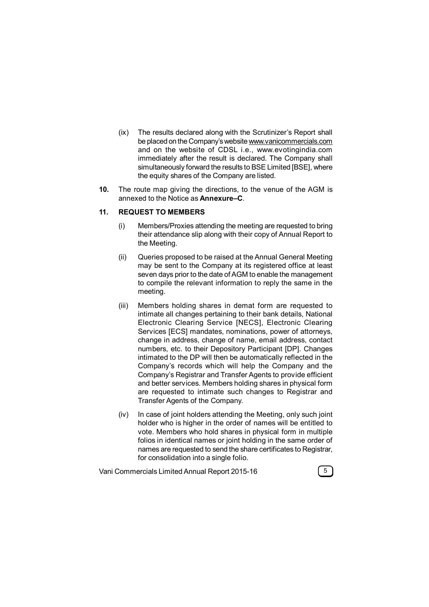- (ix) The results declared along with the Scrutinizer's Report shall be placed on the Company's website www.vanicommercials.com and on the website of CDSL i.e., www.evotingindia.com immediately after the result is declared. The Company shall simultaneously forward the results to BSE Limited [BSE], where the equity shares of the Company are listed.
- **10.** The route map giving the directions, to the venue of the AGM is annexed to the Notice as **Annexure–C**.

#### **11. REQUEST TO MEMBERS**

- (i) Members/Proxies attending the meeting are requested to bring their attendance slip along with their copy of Annual Report to the Meeting.
- (ii) Queries proposed to be raised at the Annual General Meeting may be sent to the Company at its registered office at least seven days prior to the date of AGM to enable the management to compile the relevant information to reply the same in the meeting.
- (iii) Members holding shares in demat form are requested to intimate all changes pertaining to their bank details, National Electronic Clearing Service [NECS], Electronic Clearing Services [ECS] mandates, nominations, power of attorneys, change in address, change of name, email address, contact numbers, etc. to their Depository Participant [DP]. Changes intimated to the DP will then be automatically reflected in the Company's records which will help the Company and the Company's Registrar and Transfer Agents to provide efficient and better services. Members holding shares in physical form are requested to intimate such changes to Registrar and Transfer Agents of the Company.
- (iv) In case of joint holders attending the Meeting, only such joint holder who is higher in the order of names will be entitled to vote. Members who hold shares in physical form in multiple folios in identical names or joint holding in the same order of names are requested to send the share certificates to Registrar, for consolidation into a single folio.

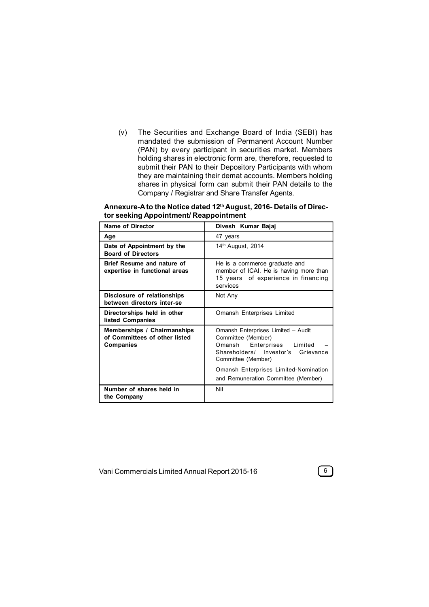(v) The Securities and Exchange Board of India (SEBI) has mandated the submission of Permanent Account Number (PAN) by every participant in securities market. Members holding shares in electronic form are, therefore, requested to submit their PAN to their Depository Participants with whom they are maintaining their demat accounts. Members holding shares in physical form can submit their PAN details to the Company / Registrar and Share Transfer Agents.

| Annexure-A to the Notice dated 12 <sup>th</sup> August, 2016- Details of Direc- |
|---------------------------------------------------------------------------------|
| tor seeking Appointment/ Reappointment                                          |

| Name of Director                                                                        | Divesh Kumar Bajaj                                                                                                                                                                             |  |  |  |
|-----------------------------------------------------------------------------------------|------------------------------------------------------------------------------------------------------------------------------------------------------------------------------------------------|--|--|--|
| Age                                                                                     | 47 years                                                                                                                                                                                       |  |  |  |
| Date of Appointment by the<br><b>Board of Directors</b>                                 | 14 <sup>th</sup> August, 2014                                                                                                                                                                  |  |  |  |
| Brief Resume and nature of<br>expertise in functional areas                             | He is a commerce graduate and<br>member of ICAI. He is having more than<br>15 years of experience in financing<br>services                                                                     |  |  |  |
| Disclosure of relationships<br>between directors inter-se                               | Not Any                                                                                                                                                                                        |  |  |  |
| Directorships held in other<br>listed Companies                                         | Omansh Enterprises Limited                                                                                                                                                                     |  |  |  |
| <b>Memberships / Chairmanships</b><br>of Committees of other listed<br><b>Companies</b> | Omansh Enterprises Limited - Audit<br>Committee (Member)<br>Enterprises Limited<br>Omansh<br>Shareholders/ Investor's Grievance<br>Committee (Member)<br>Omansh Enterprises Limited-Nomination |  |  |  |
|                                                                                         | and Remuneration Committee (Member)                                                                                                                                                            |  |  |  |
| Number of shares held in<br>the Company                                                 | Nil                                                                                                                                                                                            |  |  |  |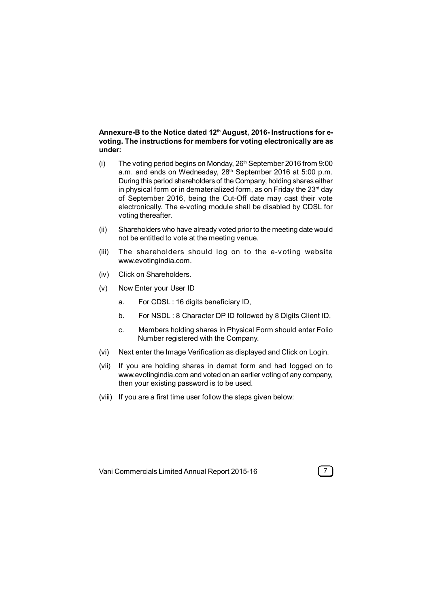## **Annexure-B to the Notice dated 12th August, 2016- Instructions for evoting. The instructions for members for voting electronically are as under:**

- (i) The voting period begins on Monday,  $26<sup>th</sup>$  September 2016 from 9:00 a.m. and ends on Wednesday, 28<sup>th</sup> September 2016 at 5:00 p.m. During this period shareholders of the Company, holding shares either in physical form or in dematerialized form, as on Friday the  $23<sup>rd</sup>$  day of September 2016, being the Cut-Off date may cast their vote electronically. The e-voting module shall be disabled by CDSL for voting thereafter.
- (ii) Shareholders who have already voted prior to the meeting date would not be entitled to vote at the meeting venue.
- (iii) The shareholders should log on to the e-voting website www.evotingindia.com.
- (iv) Click on Shareholders.
- (v) Now Enter your User ID
	- a. For CDSL : 16 digits beneficiary ID,
	- b. For NSDL : 8 Character DP ID followed by 8 Digits Client ID,
	- c. Members holding shares in Physical Form should enter Folio Number registered with the Company.
- (vi) Next enter the Image Verification as displayed and Click on Login.
- (vii) If you are holding shares in demat form and had logged on to www.evotingindia.com and voted on an earlier voting of any company, then your existing password is to be used.
- (viii) If you are a first time user follow the steps given below:

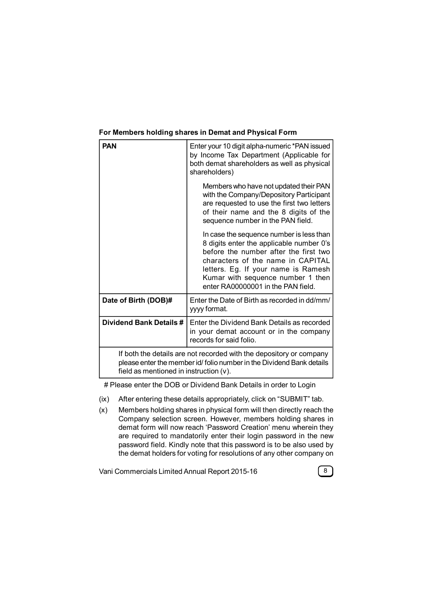| <b>PAN</b>                                                                                                                                                                             | Enter your 10 digit alpha-numeric *PAN issued<br>by Income Tax Department (Applicable for<br>both demat shareholders as well as physical<br>shareholders)                                                                                                                            |  |  |
|----------------------------------------------------------------------------------------------------------------------------------------------------------------------------------------|--------------------------------------------------------------------------------------------------------------------------------------------------------------------------------------------------------------------------------------------------------------------------------------|--|--|
|                                                                                                                                                                                        | Members who have not updated their PAN<br>with the Company/Depository Participant<br>are requested to use the first two letters<br>of their name and the 8 digits of the<br>sequence number in the PAN field.                                                                        |  |  |
|                                                                                                                                                                                        | In case the sequence number is less than<br>8 digits enter the applicable number 0's<br>before the number after the first two<br>characters of the name in CAPITAL<br>letters. Eg. If your name is Ramesh<br>Kumar with sequence number 1 then<br>enter RA00000001 in the PAN field. |  |  |
| Date of Birth (DOB)#                                                                                                                                                                   | Enter the Date of Birth as recorded in dd/mm/<br>yyyy format.                                                                                                                                                                                                                        |  |  |
| Dividend Bank Details #                                                                                                                                                                | Enter the Dividend Bank Details as recorded<br>in your demat account or in the company<br>records for said folio.                                                                                                                                                                    |  |  |
| If both the details are not recorded with the depository or company<br>please enter the member id/ folio number in the Dividend Bank details<br>field as mentioned in instruction (v). |                                                                                                                                                                                                                                                                                      |  |  |

## **For Members holding shares in Demat and Physical Form**

# Please enter the DOB or Dividend Bank Details in order to Login

- (ix) After entering these details appropriately, click on "SUBMIT" tab.
- (x) Members holding shares in physical form will then directly reach the Company selection screen. However, members holding shares in demat form will now reach 'Password Creation' menu wherein they are required to mandatorily enter their login password in the new password field. Kindly note that this password is to be also used by the demat holders for voting for resolutions of any other company on

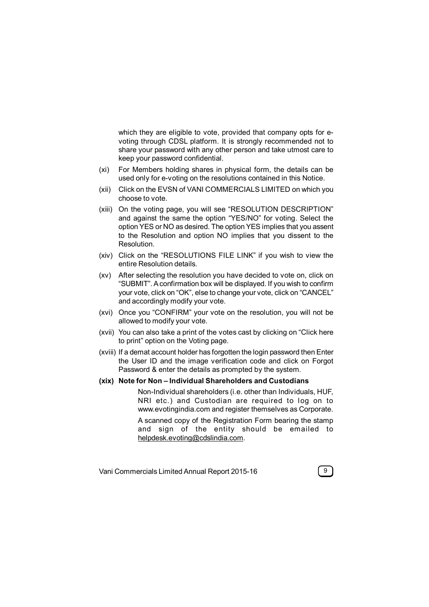which they are eligible to vote, provided that company opts for evoting through CDSL platform. It is strongly recommended not to share your password with any other person and take utmost care to keep your password confidential.

- (xi) For Members holding shares in physical form, the details can be used only for e-voting on the resolutions contained in this Notice.
- (xii) Click on the EVSN of VANI COMMERCIALS LIMITED on which you choose to vote.
- (xiii) On the voting page, you will see "RESOLUTION DESCRIPTION" and against the same the option "YES/NO" for voting. Select the option YES or NO as desired. The option YES implies that you assent to the Resolution and option NO implies that you dissent to the Resolution.
- (xiv) Click on the "RESOLUTIONS FILE LINK" if you wish to view the entire Resolution details.
- (xv) After selecting the resolution you have decided to vote on, click on "SUBMIT". A confirmation box will be displayed. If you wish to confirm your vote, click on "OK", else to change your vote, click on "CANCEL" and accordingly modify your vote.
- (xvi) Once you "CONFIRM" your vote on the resolution, you will not be allowed to modify your vote.
- (xvii) You can also take a print of the votes cast by clicking on "Click here to print" option on the Voting page.
- (xviii) If a demat account holder has forgotten the login password then Enter the User ID and the image verification code and click on Forgot Password & enter the details as prompted by the system.

## **(xix) Note for Non – Individual Shareholders and Custodians**

Non-Individual shareholders (i.e. other than Individuals, HUF, NRI etc.) and Custodian are required to log on to www.evotingindia.com and register themselves as Corporate.

A scanned copy of the Registration Form bearing the stamp and sign of the entity should be emailed to helpdesk.evoting@cdslindia.com.

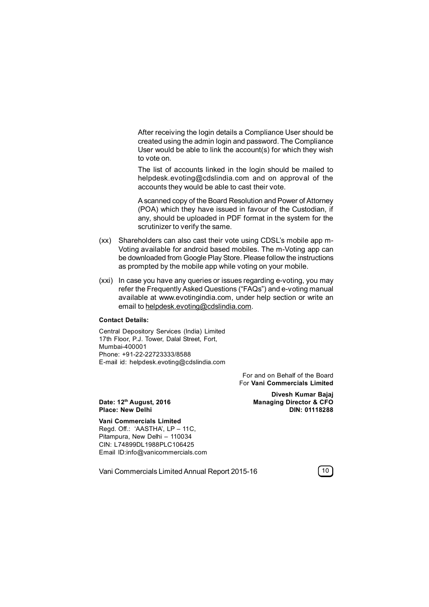After receiving the login details a Compliance User should be created using the admin login and password. The Compliance User would be able to link the account(s) for which they wish to vote on.

The list of accounts linked in the login should be mailed to helpdesk.evoting@cdslindia.com and on approval of the accounts they would be able to cast their vote.

A scanned copy of the Board Resolution and Power of Attorney (POA) which they have issued in favour of the Custodian, if any, should be uploaded in PDF format in the system for the scrutinizer to verify the same.

- (xx) Shareholders can also cast their vote using CDSL's mobile app m-Voting available for android based mobiles. The m-Voting app can be downloaded from Google Play Store. Please follow the instructions as prompted by the mobile app while voting on your mobile.
- (xxi) In case you have any queries or issues regarding e-voting, you may refer the Frequently Asked Questions ("FAQs") and e-voting manual available at www.evotingindia.com, under help section or write an email to helpdesk.evoting@cdslindia.com.

#### **Contact Details:**

Central Depository Services (India) Limited 17th Floor, P.J. Tower, Dalal Street, Fort, Mumbai-400001 Phone: +91-22-22723333/8588 E-mail id: helpdesk.evoting@cdslindia.com

> For and on Behalf of the Board For **Vani Commercials Limited**

**Divesh Kumar Bajaj Date: 12th August, 2016 Managing Director & CFO Place: New Delhi DIN: 01118288**

**Vani Commercials Limited** Regd. Off.: 'AASTHA', LP – 11C, Pitampura, New Delhi – 110034 CIN: L74899DL1988PLC106425 Email ID:info@vanicommercials.com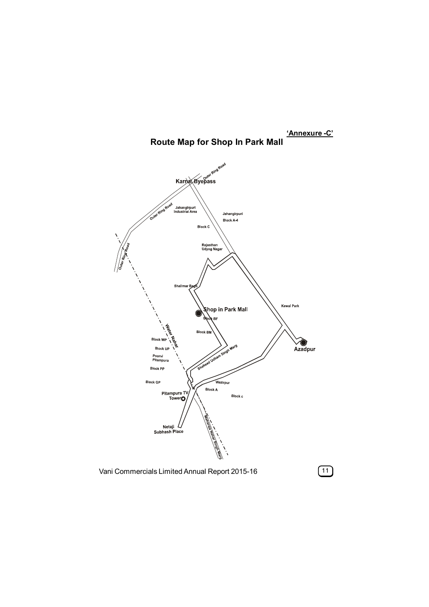

## **'Annexure -C' Route Map for Shop In Park Mall**

Vani Commercials Limited Annual Report 2015-16 **11**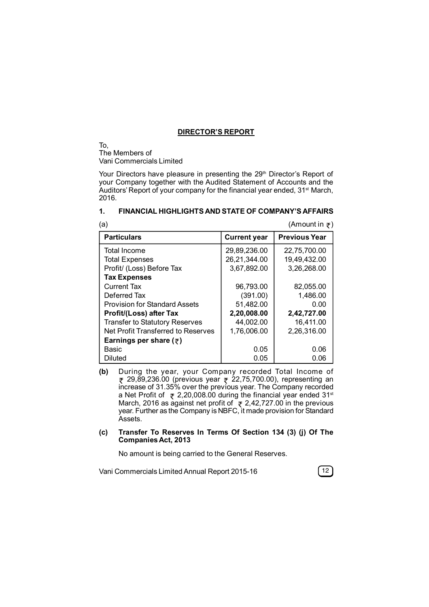#### **DIRECTOR'S REPORT**

To, The Members of Vani Commercials Limited

Your Directors have pleasure in presenting the 29<sup>th</sup> Director's Report of your Company together with the Audited Statement of Accounts and the Auditors' Report of your company for the financial year ended, 31<sup>st</sup> March, 2016.

## **1. FINANCIAL HIGHLIGHTS AND STATE OF COMPANY'S AFFAIRS**

| (Amount in $\overline{\tau}$ )<br>(a)    |                     |                      |  |  |
|------------------------------------------|---------------------|----------------------|--|--|
| <b>Particulars</b>                       | <b>Current year</b> | <b>Previous Year</b> |  |  |
| <b>Total Income</b>                      | 29,89,236.00        | 22,75,700.00         |  |  |
| <b>Total Expenses</b>                    | 26,21,344.00        | 19,49,432.00         |  |  |
| Profit/ (Loss) Before Tax                | 3,67,892.00         | 3,26,268.00          |  |  |
| <b>Tax Expenses</b>                      |                     |                      |  |  |
| <b>Current Tax</b>                       | 96,793.00           | 82,055.00            |  |  |
| Deferred Tax                             | (391.00)            | 1,486.00             |  |  |
| Provision for Standard Assets            | 51,482.00           | 0.00                 |  |  |
| Profit/(Loss) after Tax                  | 2,20,008.00         | 2,42,727.00          |  |  |
| <b>Transfer to Statutory Reserves</b>    | 44,002.00           | 16,411.00            |  |  |
| Net Profit Transferred to Reserves       | 1,76,006.00         | 2,26,316.00          |  |  |
| Earnings per share ( $\overline{\tau}$ ) |                     |                      |  |  |
| Basic                                    | 0.05                | 0.06                 |  |  |
| Diluted                                  | 0.05                | 0.06                 |  |  |

**(b)** During the year, your Company recorded Total Income of  $\bar{\tau}$  29,89,236.00 (previous year  $\bar{\tau}$  22,75,700.00), representing an increase of 31.35% over the previous year. The Company recorded a Net Profit of  $\approx 2,20,008.00$  during the financial year ended 31<sup>st</sup> March, 2016 as against net profit of  $\approx$  2,42,727.00 in the previous year. Further as the Company is NBFC, it made provision for Standard Assets.

## **(c) Transfer To Reserves In Terms Of Section 134 (3) (j) Of The Companies Act, 2013**

No amount is being carried to the General Reserves.

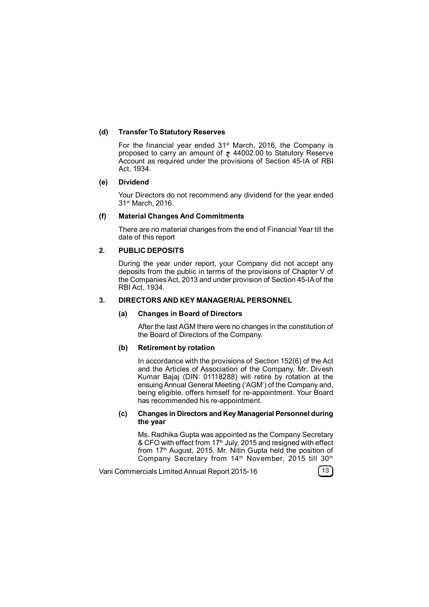## **(d) Transfer To Statutory Reserves**

For the financial year ended  $31<sup>st</sup>$  March, 2016, the Company is proposed to carry an amount of  $\bar{x}$  44002.00 to Statutory Reserve Account as required under the provisions of Section 45-IA of RBI Act, 1934.

#### **(e) Dividend**

Your Directors do not recommend any dividend for the year ended 31st March, 2016.

## **(f) Material Changes And Commitments**

There are no material changes from the end of Financial Year till the date of this report

## **2. PUBLIC DEPOSITS**

During the year under report, your Company did not accept any deposits from the public in terms of the provisions of Chapter V of the Companies Act, 2013 and under provision of Section 45-IA of the RBI Act, 1934.

## **3. DIRECTORS AND KEY MANAGERIAL PERSONNEL**

#### **(a) Changes in Board of Directors**

After the last AGM there were no changes in the constitution of the Board of Directors of the Company.

#### **(b) Retirement by rotation**

In accordance with the provisions of Section 152(6) of the Act and the Articles of Association of the Company, Mr. Divesh Kumar Bajaj (DIN: 01118288) will retire by rotation at the ensuing Annual General Meeting ('AGM') of the Company and, being eligible, offers himself for re-appointment. Your Board has recommended his re-appointment.

#### **(c) Changes in Directors and Key Managerial Personnel during the year**

Ms. Radhika Gupta was appointed as the Company Secretary & CFO with effect from 17<sup>th</sup> July, 2015 and resigned with effect from 17<sup>th</sup> August, 2015. Mr. Nitin Gupta held the position of Company Secretary from 14<sup>th</sup> November, 2015 till 30<sup>th</sup>

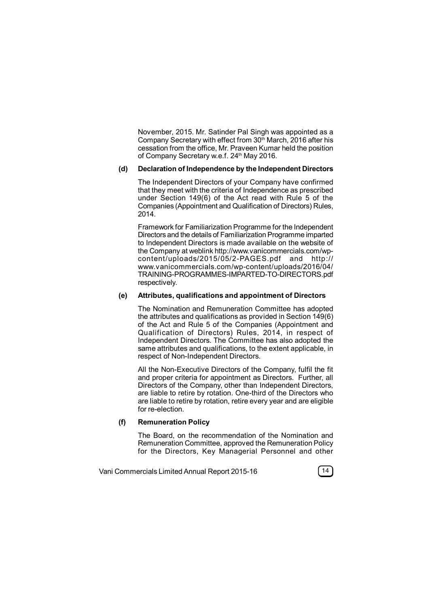November, 2015. Mr. Satinder Pal Singh was appointed as a Company Secretary with effect from 30<sup>th</sup> March, 2016 after his cessation from the office, Mr. Praveen Kumar held the position of Company Secretary w.e.f. 24<sup>th</sup> May 2016.

### **(d) Declaration of Independence by the Independent Directors**

The Independent Directors of your Company have confirmed that they meet with the criteria of Independence as prescribed under Section 149(6) of the Act read with Rule 5 of the Companies (Appointment and Qualification of Directors) Rules, 2014.

Framework for Familiarization Programme for the Independent Directors and the details of Familiarization Programme imparted to Independent Directors is made available on the website of the Company at weblink http://www.vanicommercials.com/wpcontent/uploads/2015/05/2-PAGES.pdf and http:// www.vanicommercials.com/wp-content/uploads/2016/04/ TRAINING-PROGRAMMES-IMPARTED-TO-DIRECTORS.pdf respectively.

#### **(e) Attributes, qualifications and appointment of Directors**

The Nomination and Remuneration Committee has adopted the attributes and qualifications as provided in Section 149(6) of the Act and Rule 5 of the Companies (Appointment and Qualification of Directors) Rules, 2014, in respect of Independent Directors. The Committee has also adopted the same attributes and qualifications, to the extent applicable, in respect of Non-Independent Directors.

All the Non-Executive Directors of the Company, fulfil the fit and proper criteria for appointment as Directors. Further, all Directors of the Company, other than Independent Directors, are liable to retire by rotation. One-third of the Directors who are liable to retire by rotation, retire every year and are eligible for re-election.

#### **(f) Remuneration Policy**

The Board, on the recommendation of the Nomination and Remuneration Committee, approved the Remuneration Policy for the Directors, Key Managerial Personnel and other

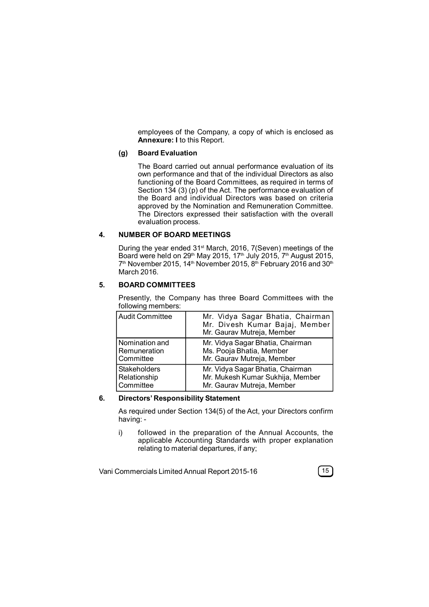employees of the Company, a copy of which is enclosed as **Annexure: I** to this Report.

## **(g) Board Evaluation**

The Board carried out annual performance evaluation of its own performance and that of the individual Directors as also functioning of the Board Committees, as required in terms of Section 134 (3) (p) of the Act. The performance evaluation of the Board and individual Directors was based on criteria approved by the Nomination and Remuneration Committee. The Directors expressed their satisfaction with the overall evaluation process.

## **4. NUMBER OF BOARD MEETINGS**

During the year ended 31<sup>st</sup> March, 2016, 7(Seven) meetings of the Board were held on 29<sup>th</sup> May 2015, 17<sup>th</sup> July 2015, 7<sup>th</sup> August 2015, 7th November 2015, 14th November 2015, 8th February 2016 and 30th March 2016.

## **5. BOARD COMMITTEES**

Presently, the Company has three Board Committees with the following members:

| <b>Audit Committee</b> | Mr. Vidya Sagar Bhatia, Chairman<br>Mr. Divesh Kumar Bajaj, Member<br>Mr. Gaurav Mutreja, Member |
|------------------------|--------------------------------------------------------------------------------------------------|
| Nomination and         | Mr. Vidya Sagar Bhatia, Chairman                                                                 |
| Remuneration           | Ms. Pooja Bhatia, Member                                                                         |
| Committee              | Mr. Gaurav Mutreja, Member                                                                       |
| <b>Stakeholders</b>    | Mr. Vidya Sagar Bhatia, Chairman                                                                 |
| Relationship           | Mr. Mukesh Kumar Sukhija, Member                                                                 |
| Committee              | Mr. Gaurav Mutreja, Member                                                                       |

#### **6. Directors' Responsibility Statement**

As required under Section 134(5) of the Act, your Directors confirm having: -

i) followed in the preparation of the Annual Accounts, the applicable Accounting Standards with proper explanation relating to material departures, if any;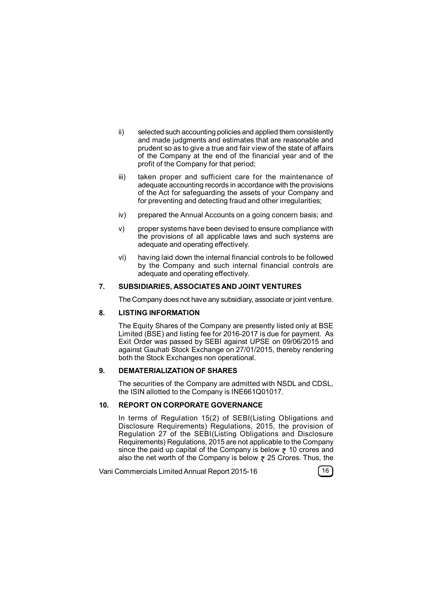- ii) selected such accounting policies and applied them consistently and made judgments and estimates that are reasonable and prudent so as to give a true and fair view of the state of affairs of the Company at the end of the financial year and of the profit of the Company for that period;
- iii) taken proper and sufficient care for the maintenance of adequate accounting records in accordance with the provisions of the Act for safeguarding the assets of your Company and for preventing and detecting fraud and other irregularities;
- iv) prepared the Annual Accounts on a going concern basis; and
- v) proper systems have been devised to ensure compliance with the provisions of all applicable laws and such systems are adequate and operating effectively.
- vi) having laid down the internal financial controls to be followed by the Company and such internal financial controls are adequate and operating effectively.

#### **7. SUBSIDIARIES, ASSOCIATES AND JOINT VENTURES**

The Company does not have any subsidiary, associate or joint venture.

## **8. LISTING INFORMATION**

The Equity Shares of the Company are presently listed only at BSE Limited (BSE) and listing fee for 2016-2017 is due for payment. As Exit Order was passed by SEBI against UPSE on 09/06/2015 and against Gauhati Stock Exchange on 27/01/2015, thereby rendering both the Stock Exchanges non operational.

#### **9. DEMATERIALIZATION OF SHARES**

The securities of the Company are admitted with NSDL and CDSL, the ISIN allotted to the Company is INE661Q01017.

## **10. REPORT ON CORPORATE GOVERNANCE**

In terms of Regulation 15(2) of SEBI(Listing Obligations and Disclosure Requirements) Regulations, 2015, the provision of Regulation 27 of the SEBI(Listing Obligations and Disclosure Requirements) Regulations, 2015 are not applicable to the Company since the paid up capital of the Company is below  $\bar{z}$  10 crores and also the net worth of the Company is below  $\bar{z}$  25 Crores. Thus, the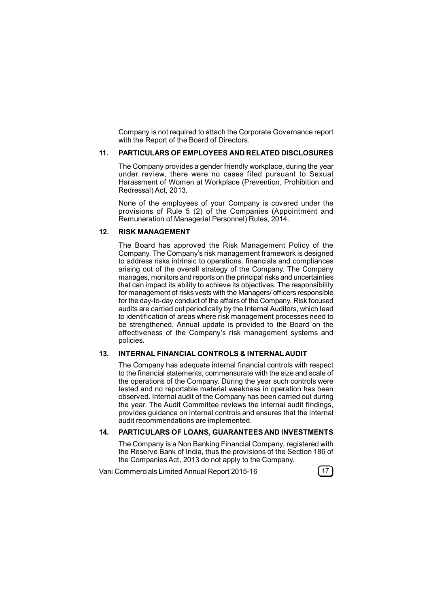Company is not required to attach the Corporate Governance report with the Report of the Board of Directors.

#### **11. PARTICULARS OF EMPLOYEES AND RELATED DISCLOSURES**

The Company provides a gender friendly workplace, during the year under review, there were no cases filed pursuant to Sexual Harassment of Women at Workplace (Prevention, Prohibition and Redressal) Act, 2013.

None of the employees of your Company is covered under the provisions of Rule 5 (2) of the Companies (Appointment and Remuneration of Managerial Personnel) Rules, 2014.

## **12. RISK MANAGEMENT**

The Board has approved the Risk Management Policy of the Company. The Company's risk management framework is designed to address risks intrinsic to operations, financials and compliances arising out of the overall strategy of the Company. The Company manages, monitors and reports on the principal risks and uncertainties that can impact its ability to achieve its objectives. The responsibility for management of risks vests with the Managers/ officers responsible for the day-to-day conduct of the affairs of the Company. Risk focused audits are carried out periodically by the Internal Auditors, which lead to identification of areas where risk management processes need to be strengthened. Annual update is provided to the Board on the effectiveness of the Company's risk management systems and policies.

## **13. INTERNAL FINANCIAL CONTROLS & INTERNAL AUDIT**

The Company has adequate internal financial controls with respect to the financial statements, commensurate with the size and scale of the operations of the Company. During the year such controls were tested and no reportable material weakness in operation has been observed. Internal audit of the Company has been carried out during the year. The Audit Committee reviews the internal audit findings, provides guidance on internal controls and ensures that the internal audit recommendations are implemented.

## **14. PARTICULARS OF LOANS, GUARANTEES AND INVESTMENTS**

The Company is a Non Banking Financial Company, registered with the Reserve Bank of India, thus the provisions of the Section 186 of the Companies Act, 2013 do not apply to the Company.

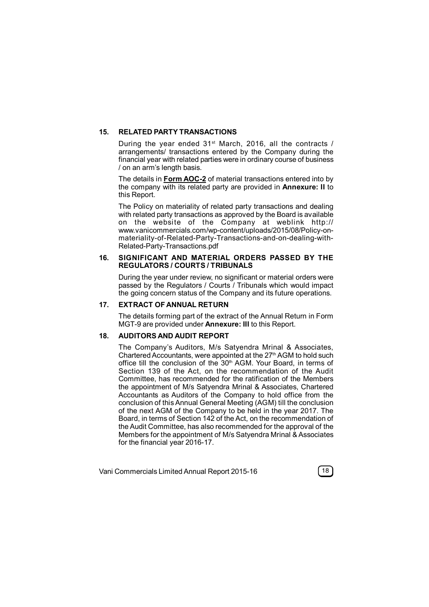## **15. RELATED PARTY TRANSACTIONS**

During the year ended 31<sup>st</sup> March, 2016, all the contracts / arrangements/ transactions entered by the Company during the financial year with related parties were in ordinary course of business / on an arm's length basis.

The details in **Form AOC-2** of material transactions entered into by the company with its related party are provided in **Annexure: II** to this Report.

The Policy on materiality of related party transactions and dealing with related party transactions as approved by the Board is available on the website of the Company at weblink http:// www.vanicommercials.com/wp-content/uploads/2015/08/Policy-onmateriality-of-Related-Party-Transactions-and-on-dealing-with-Related-Party-Transactions.pdf

#### **16. SIGNIFICANT AND MATERIAL ORDERS PASSED BY THE REGULATORS / COURTS / TRIBUNALS**

During the year under review, no significant or material orders were passed by the Regulators / Courts / Tribunals which would impact the going concern status of the Company and its future operations.

## **17. EXTRACT OF ANNUAL RETURN**

The details forming part of the extract of the Annual Return in Form MGT-9 are provided under **Annexure: III** to this Report.

#### **18. AUDITORS AND AUDIT REPORT**

The Company's Auditors, M/s Satyendra Mrinal & Associates, Chartered Accountants, were appointed at the 27<sup>th</sup> AGM to hold such office till the conclusion of the 30<sup>th</sup> AGM. Your Board, in terms of Section 139 of the Act, on the recommendation of the Audit Committee, has recommended for the ratification of the Members the appointment of M/s Satyendra Mrinal & Associates, Chartered Accountants as Auditors of the Company to hold office from the conclusion of this Annual General Meeting (AGM) till the conclusion of the next AGM of the Company to be held in the year 2017. The Board, in terms of Section 142 of the Act, on the recommendation of the Audit Committee, has also recommended for the approval of the Members for the appointment of M/s Satyendra Mrinal & Associates for the financial year 2016-17.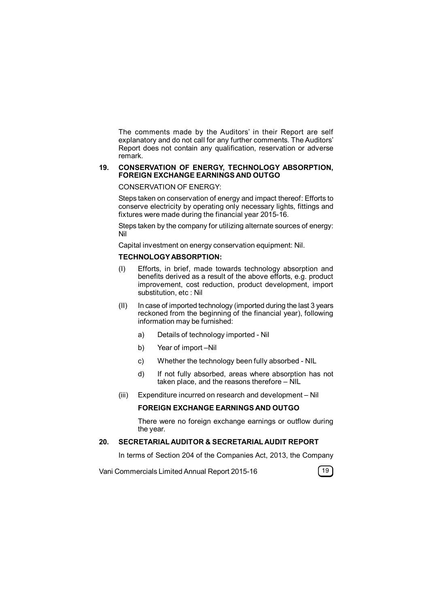The comments made by the Auditors' in their Report are self explanatory and do not call for any further comments. The Auditors' Report does not contain any qualification, reservation or adverse remark.

#### **19. CONSERVATION OF ENERGY, TECHNOLOGY ABSORPTION, FOREIGN EXCHANGE EARNINGS AND OUTGO**

## CONSERVATION OF ENERGY:

Steps taken on conservation of energy and impact thereof: Efforts to conserve electricity by operating only necessary lights, fittings and fixtures were made during the financial year 2015-16.

Steps taken by the company for utilizing alternate sources of energy: Nil

Capital investment on energy conservation equipment: Nil.

## **TECHNOLOGY ABSORPTION:**

- (I) Efforts, in brief, made towards technology absorption and benefits derived as a result of the above efforts, e.g. product improvement, cost reduction, product development, import substitution, etc : Nil
- (II) In case of imported technology (imported during the last 3 years reckoned from the beginning of the financial year), following information may be furnished:
	- a) Details of technology imported Nil
	- b) Year of import –Nil
	- c) Whether the technology been fully absorbed NIL
	- d) If not fully absorbed, areas where absorption has not taken place, and the reasons therefore – NIL
- (iii) Expenditure incurred on research and development Nil

## **FOREIGN EXCHANGE EARNINGS AND OUTGO**

There were no foreign exchange earnings or outflow during the year.

## **20. SECRETARIAL AUDITOR & SECRETARIAL AUDIT REPORT**

In terms of Section 204 of the Companies Act, 2013, the Company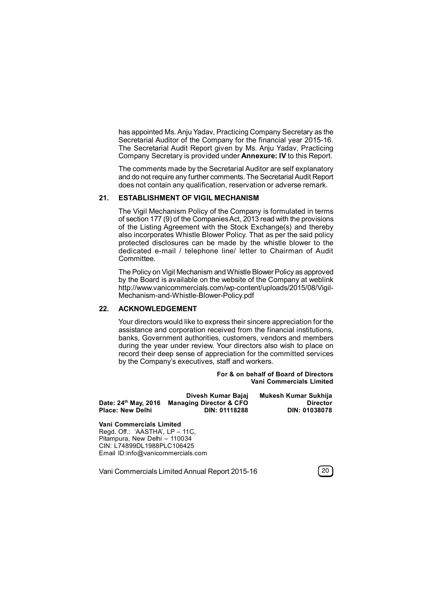has appointed Ms. Anju Yadav, Practicing Company Secretary as the Secretarial Auditor of the Company for the financial year 2015-16. The Secretarial Audit Report given by Ms. Anju Yadav, Practicing Company Secretary is provided under **Annexure: IV** to this Report.

The comments made by the Secretarial Auditor are self explanatory and do not require any further comments. The Secretarial Audit Report does not contain any qualification, reservation or adverse remark.

#### **21. ESTABLISHMENT OF VIGIL MECHANISM**

The Vigil Mechanism Policy of the Company is formulated in terms of section 177 (9) of the Companies Act, 2013 read with the provisions of the Listing Agreement with the Stock Exchange(s) and thereby also incorporates Whistle Blower Policy. That as per the said policy protected disclosures can be made by the whistle blower to the dedicated e-mail / telephone line/ letter to Chairman of Audit Committee.

The Policy on Vigil Mechanism and Whistle Blower Policy as approved by the Board is available on the website of the Company at weblink http://www.vanicommercials.com/wp-content/uploads/2015/08/Vigil-Mechanism-and-Whistle-Blower-Policy.pdf

#### **22. ACKNOWLEDGEMENT**

Your directors would like to express their sincere appreciation for the assistance and corporation received from the financial institutions, banks, Government authorities, customers, vendors and members during the year under review. Your directors also wish to place on record their deep sense of appreciation for the committed services by the Company's executives, staff and workers.

> **For & on behalf of Board of Directors Vani Commercials Limited**

|                                  | Divesh Kumar Bajaj                 | Mukesh Kumar Sukhija |
|----------------------------------|------------------------------------|----------------------|
| Date: 24 <sup>th</sup> May, 2016 | <b>Managing Director &amp; CFO</b> | <b>Director</b>      |
| <b>Place: New Delhi</b>          | DIN: 01118288                      | DIN: 01038078        |

**Vani Commercials Limited** Regd. Off.: 'AASTHA', LP – 11C, Pitampura, New Delhi – 110034 CIN: L74899DL1988PLC106425 Email ID:info@vanicommercials.com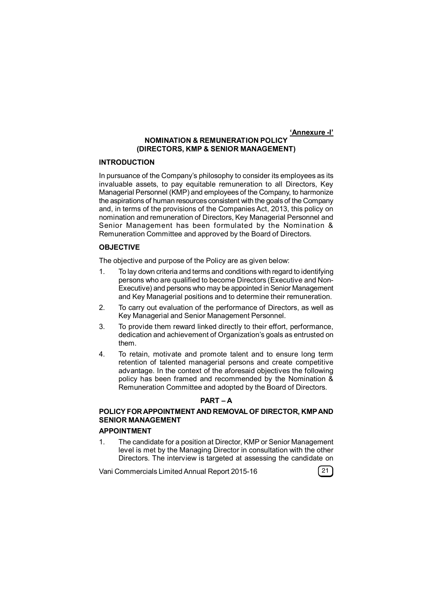**'Annexure -I'**

## **NOMINATION & REMUNERATION POLICY (DIRECTORS, KMP & SENIOR MANAGEMENT)**

## **INTRODUCTION**

In pursuance of the Company's philosophy to consider its employees as its invaluable assets, to pay equitable remuneration to all Directors, Key Managerial Personnel (KMP) and employees of the Company, to harmonize the aspirations of human resources consistent with the goals of the Company and, in terms of the provisions of the Companies Act, 2013, this policy on nomination and remuneration of Directors, Key Managerial Personnel and Senior Management has been formulated by the Nomination & Remuneration Committee and approved by the Board of Directors.

#### **OBJECTIVE**

The objective and purpose of the Policy are as given below:

- 1. To lay down criteria and terms and conditions with regard to identifying persons who are qualified to become Directors (Executive and Non-Executive) and persons who may be appointed in Senior Management and Key Managerial positions and to determine their remuneration.
- 2. To carry out evaluation of the performance of Directors, as well as Key Managerial and Senior Management Personnel.
- 3. To provide them reward linked directly to their effort, performance, dedication and achievement of Organization's goals as entrusted on them.
- 4. To retain, motivate and promote talent and to ensure long term retention of talented managerial persons and create competitive advantage. In the context of the aforesaid objectives the following policy has been framed and recommended by the Nomination & Remuneration Committee and adopted by the Board of Directors.

### **PART – A**

## **POLICY FOR APPOINTMENT AND REMOVAL OF DIRECTOR, KMP AND SENIOR MANAGEMENT**

## **APPOINTMENT**

1. The candidate for a position at Director, KMP or Senior Management level is met by the Managing Director in consultation with the other Directors. The interview is targeted at assessing the candidate on

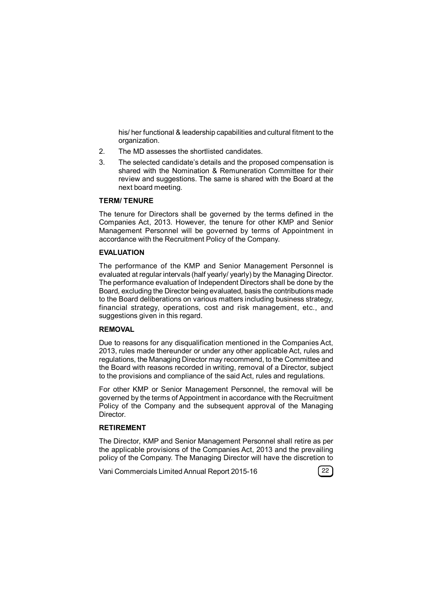his/ her functional & leadership capabilities and cultural fitment to the organization.

- 2. The MD assesses the shortlisted candidates.
- 3. The selected candidate's details and the proposed compensation is shared with the Nomination & Remuneration Committee for their review and suggestions. The same is shared with the Board at the next board meeting.

#### **TERM/ TENURE**

The tenure for Directors shall be governed by the terms defined in the Companies Act, 2013. However, the tenure for other KMP and Senior Management Personnel will be governed by terms of Appointment in accordance with the Recruitment Policy of the Company.

## **EVALUATION**

The performance of the KMP and Senior Management Personnel is evaluated at regular intervals (half yearly/ yearly) by the Managing Director. The performance evaluation of Independent Directors shall be done by the Board, excluding the Director being evaluated, basis the contributions made to the Board deliberations on various matters including business strategy, financial strategy, operations, cost and risk management, etc., and suggestions given in this regard.

## **REMOVAL**

Due to reasons for any disqualification mentioned in the Companies Act, 2013, rules made thereunder or under any other applicable Act, rules and regulations, the Managing Director may recommend, to the Committee and the Board with reasons recorded in writing, removal of a Director, subject to the provisions and compliance of the said Act, rules and regulations.

For other KMP or Senior Management Personnel, the removal will be governed by the terms of Appointment in accordance with the Recruitment Policy of the Company and the subsequent approval of the Managing Director.

### **RETIREMENT**

The Director, KMP and Senior Management Personnel shall retire as per the applicable provisions of the Companies Act, 2013 and the prevailing policy of the Company. The Managing Director will have the discretion to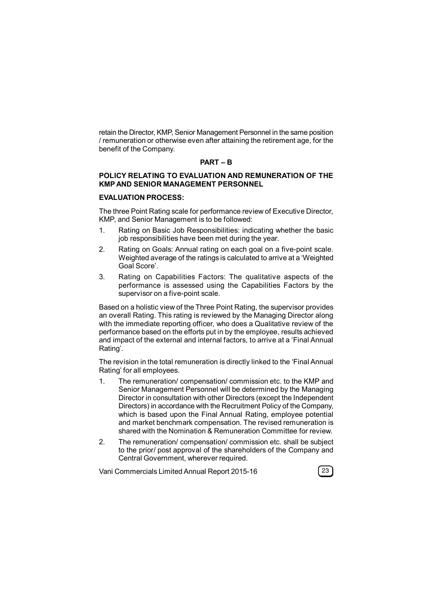retain the Director, KMP, Senior Management Personnel in the same position / remuneration or otherwise even after attaining the retirement age, for the benefit of the Company.

## **PART – B**

### **POLICY RELATING TO EVALUATION AND REMUNERATION OF THE KMP AND SENIOR MANAGEMENT PERSONNEL**

## **EVALUATION PROCESS:**

The three Point Rating scale for performance review of Executive Director, KMP, and Senior Management is to be followed:

- 1. Rating on Basic Job Responsibilities: indicating whether the basic job responsibilities have been met during the year.
- 2. Rating on Goals: Annual rating on each goal on a five-point scale. Weighted average of the ratings is calculated to arrive at a 'Weighted Goal Score'.
- 3. Rating on Capabilities Factors: The qualitative aspects of the performance is assessed using the Capabilities Factors by the supervisor on a five-point scale.

Based on a holistic view of the Three Point Rating, the supervisor provides an overall Rating. This rating is reviewed by the Managing Director along with the immediate reporting officer, who does a Qualitative review of the performance based on the efforts put in by the employee, results achieved and impact of the external and internal factors, to arrive at a 'Final Annual Rating'.

The revision in the total remuneration is directly linked to the 'Final Annual Rating' for all employees.

- 1. The remuneration/ compensation/ commission etc. to the KMP and Senior Management Personnel will be determined by the Managing Director in consultation with other Directors (except the Independent Directors) in accordance with the Recruitment Policy of the Company, which is based upon the Final Annual Rating, employee potential and market benchmark compensation. The revised remuneration is shared with the Nomination & Remuneration Committee for review.
- 2. The remuneration/ compensation/ commission etc. shall be subject to the prior/ post approval of the shareholders of the Company and Central Government, wherever required.

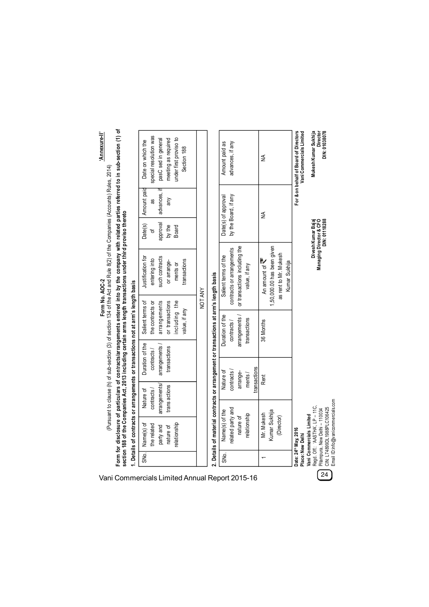| Form for disclosure of particulars of contracts/arrangements entered into by the company with related parties referred to in sub-section (1) of<br>'Annexure-II'                                                                             | special resolution was<br>under first proviso to<br>pasC sed in general<br>meeting as required<br>Date on which the<br>Section 188 |                                                                                      | advances, if any<br>Amount paid as                |                                                | ≸                                                                  |                                        | For & on behalf of Board of Directors<br>Vani Commercials Limited | Mukesh Kumar Sukhija<br>Director<br>DIN: 01038078                                                                            |
|----------------------------------------------------------------------------------------------------------------------------------------------------------------------------------------------------------------------------------------------|------------------------------------------------------------------------------------------------------------------------------------|--------------------------------------------------------------------------------------|---------------------------------------------------|------------------------------------------------|--------------------------------------------------------------------|----------------------------------------|-------------------------------------------------------------------|------------------------------------------------------------------------------------------------------------------------------|
|                                                                                                                                                                                                                                              | Amount paid<br>advances,<br>any<br>as                                                                                              |                                                                                      | by the Board, if any<br>Date(s) of approval       |                                                | ≸                                                                  |                                        |                                                                   |                                                                                                                              |
|                                                                                                                                                                                                                                              | approval<br>Date(s)<br>by the<br>Board<br>đ                                                                                        |                                                                                      |                                                   |                                                |                                                                    |                                        |                                                                   | Divesh Kumar Bajaj                                                                                                           |
| (Pursuant to clause (h) of sub-section (3) of section 134 of the Act and Rule 8(2) of the Companies (Accounts) Rules, 2014)<br>section 188 of the Companies Act, 2013 including certain arms length transactions under third proviso thereto | Justification for<br>such contracts<br>entering into<br>transactions<br>or arrange-<br>ments or                                    |                                                                                      | contracts or arrangements<br>Salient terms of the | or transactions including the<br>value, if any | 1,50,000.00 has been given<br>An amount of $\overline{\mathbf{S}}$ | as rent to Mr. Mukesh<br>Kumar Sukhija |                                                                   | Managing Director & CFO<br>DIN: 01118288                                                                                     |
| Form No. AOC-2                                                                                                                                                                                                                               |                                                                                                                                    | NOT ANY                                                                              |                                                   |                                                |                                                                    |                                        |                                                                   |                                                                                                                              |
|                                                                                                                                                                                                                                              | Salient terms of<br>arrangements<br>or transactions<br>including the<br>the contracts or<br>value, if any                          |                                                                                      | Duration of the<br>contracts/                     | arrangements<br>transactions                   | 36 Months                                                          |                                        |                                                                   |                                                                                                                              |
|                                                                                                                                                                                                                                              | Duration of the<br>transactions<br>contracts /                                                                                     |                                                                                      |                                                   |                                                |                                                                    |                                        |                                                                   |                                                                                                                              |
|                                                                                                                                                                                                                                              | arrangements                                                                                                                       |                                                                                      | Nature of<br>contracts/                           | transactions<br>arrange-<br>ments/             | Rent                                                               |                                        |                                                                   |                                                                                                                              |
|                                                                                                                                                                                                                                              | arrangements/<br>trans actions<br>contracts/<br>Nature of                                                                          |                                                                                      |                                                   |                                                |                                                                    |                                        |                                                                   |                                                                                                                              |
| . Details of contracts or arrangements or transactions not at arm's length basis                                                                                                                                                             | Name(s) of<br>elationship<br>the related<br>nature of<br>party and                                                                 | . Details of material contracts or arrangement or transactions at arm's length basis | related party and<br>Name(s) of the               | relationship<br>nature of                      | Kumar Sukhija<br>Mr. Mukesh                                        | (Director)                             | Date: 24th May, 2016<br>Place: New Delhi                          | Regd. Off.: 'AASTHA', LP - 11C,<br>CIN: 174899DI 1988PI C106425<br>Pitampura, New Delhi - 110034<br>Vani Commercials Limited |
|                                                                                                                                                                                                                                              | SNo.                                                                                                                               |                                                                                      | SNo.                                              |                                                |                                                                    |                                        |                                                                   |                                                                                                                              |
|                                                                                                                                                                                                                                              | Vani Commercials Limited Annual Report 2015-16                                                                                     |                                                                                      |                                                   |                                                |                                                                    |                                        |                                                                   | $\frac{1}{24}$                                                                                                               |

**Vani Commercials Limited** Regd. Off.: 'AASTHA', LP – 11C, Pitampura, New Delhi – 110034 CIN: L74899DL1988PLC106425 Email ID:info@vanicommercials.com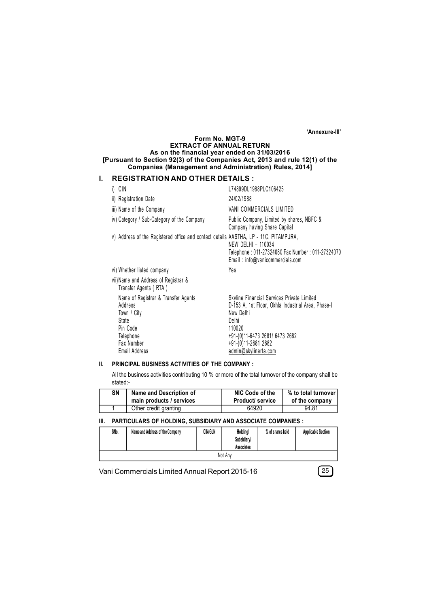**'Annexure-III'**

#### **Form No. MGT-9 EXTRACT OF ANNUAL RETURN As on the financial year ended on 31/03/2016 [Pursuant to Section 92(3) of the Companies Act, 2013 and rule 12(1) of the Companies (Management and Administration) Rules, 2014]**

## **I. REGISTRATION AND OTHER DETAILS :**

| i) CIN                                                                                                                         | L74899DL1988PLC106425                                                                                                                                                                                             |
|--------------------------------------------------------------------------------------------------------------------------------|-------------------------------------------------------------------------------------------------------------------------------------------------------------------------------------------------------------------|
| ii) Registration Date                                                                                                          | 24/02/1988                                                                                                                                                                                                        |
| iii) Name of the Company                                                                                                       | VANI COMMERCIALS LIMITED                                                                                                                                                                                          |
| iv) Category / Sub-Category of the Company                                                                                     | Public Company, Limited by shares, NBFC &<br>Company having Share Capital                                                                                                                                         |
| v) Address of the Registered office and contact details AASTHA, LP - 11C, PITAMPURA,                                           | NEW DELHI - 110034<br>Telephone: 011-27324080 Fax Number: 011-27324070<br>Email: info@vanicommercials.com                                                                                                         |
| vi) Whether listed company                                                                                                     | Yes                                                                                                                                                                                                               |
| vii)Name and Address of Registrar &<br>Transfer Agents (RTA)                                                                   |                                                                                                                                                                                                                   |
| Name of Registrar & Transfer Agents<br>Address<br>Town / City<br>State<br>Pin Code<br>Telephone<br>Fax Number<br>Email Address | Skyline Financial Services Private Limited<br>D-153 A, 1st Floor, Okhla Industrial Area, Phase-I<br>New Delhi<br>Delhi<br>110020<br>+91-(0)11-6473 2681/ 6473 2682<br>+91-(0)11-2681 2682<br>admin@skylinerta.com |

## **II. PRINCIPAL BUSINESS ACTIVITIES OF THE COMPANY :**

All the business activities contributing 10 % or more of the total turnover of the company shall be stated:-

| SΝ | Name and Description of  | NIC Code of the         | % to total turnover |
|----|--------------------------|-------------------------|---------------------|
|    | main products / services | <b>Product/ service</b> | of the company      |
|    | Other credit granting    | 64920                   | 94.81               |

#### **III. PARTICULARS OF HOLDING, SUBSIDIARY AND ASSOCIATE COMPANIES :**

| SNo. | Name and Address of the Company | <b>CIN/GLN</b> | Holding/<br>Subsidiary/<br><b>Associates</b> | % of shares held | <b>Applicable Section</b> |
|------|---------------------------------|----------------|----------------------------------------------|------------------|---------------------------|
|      |                                 |                | Not Anv                                      |                  |                           |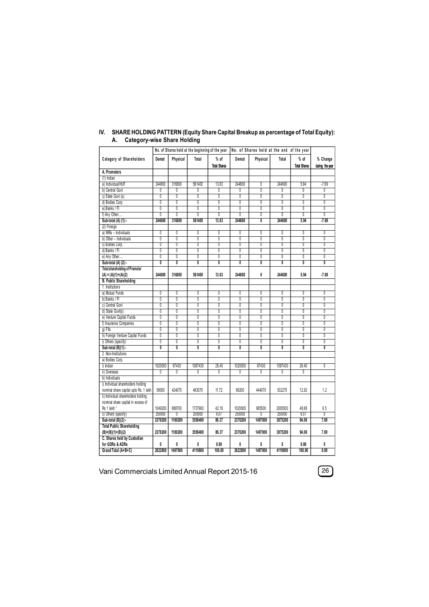|                                       |                |                           |                         | No. of Shares held at the beginning of the year |                         | No. of Shares held at the end of the year |                           |                           |                         |
|---------------------------------------|----------------|---------------------------|-------------------------|-------------------------------------------------|-------------------------|-------------------------------------------|---------------------------|---------------------------|-------------------------|
| Category of Shareholders              | Demat          | Physical                  | Total                   | $%$ of                                          | Demat                   | Physical                                  | Total                     | $%$ of                    | % Change                |
|                                       |                |                           |                         | <b>Total Shares</b>                             |                         |                                           |                           | <b>Total Shares</b>       | during the year         |
| A. Promoters                          |                |                           |                         |                                                 |                         |                                           |                           |                           |                         |
| $(1)$ Indian                          |                |                           |                         |                                                 |                         |                                           |                           |                           |                         |
| a) Individual/HUF                     | 244600         | 316800                    | 561400                  | 13.63                                           | 244600                  | 0                                         | 244600                    | 5.94                      | $-7.69$                 |
| b) Central Govt                       | Ō              | 0                         | 0                       | 0                                               | 0                       | $\overline{0}$                            | 0                         | 0                         | 0                       |
| c) State Govt (s)                     | $\overline{0}$ | $\overline{0}$            | $\overline{0}$          | $\overline{0}$                                  | 0                       | $\overline{0}$                            | $\overline{0}$            | $\overline{0}$            | $\overline{0}$          |
| d) Bodies Corp.                       | 0              | 0                         | 0                       | 0                                               | 0                       | 0                                         | 0                         | 0                         | 0                       |
| e) Banks / FI                         | $\overline{0}$ | $\overline{\mathbf{0}}$   | $\overline{0}$          | $\overline{0}$                                  | $\overline{0}$          | $\overline{0}$                            | $\overline{0}$            | $\overline{0}$            | $\overline{0}$          |
| f) Any Other                          | 0              | 0                         | 0                       | 0                                               | 0                       | 0                                         | 0                         | 0                         | 0                       |
| Sub-total (A) (1):-                   | 244600         | 316800                    | 561400                  | 13.63                                           | 244600                  | $\overline{0}$                            | 244600                    | 5.94                      | $-7.69$                 |
| (2) Foreign                           |                |                           |                         |                                                 |                         |                                           |                           |                           |                         |
| a) NRIs - Individuals                 | $\overline{0}$ | $\overline{0}$            | 0                       | $\overline{0}$                                  | $\overline{0}$          | $\overline{0}$                            | $\overline{0}$            | $\overline{0}$            | 0                       |
| b) Other - Individuals                | 0              | Ō                         | Ō                       | $\overline{0}$                                  | Ō                       | 0                                         | $\overline{\mathbf{0}}$   | 0                         | 0                       |
| c) Bodies Corp.                       | 0              | 0                         | 0                       | 0                                               | 0                       | 0                                         | 0                         | 0                         | 0                       |
| d) Banks / FI                         | 0              | Ō                         | 0                       | Ō                                               | 0                       | 0                                         | $\overline{\mathbf{0}}$   | 0                         | Ō                       |
| e) Any Other                          | 0              | $\overline{0}$            | $\overline{0}$          | $\overline{0}$                                  | Ō                       | $\overline{0}$                            | $\overline{0}$            | 0                         | Ō                       |
| Sub-total (A) (2):-                   | 0              | $\overline{\mathbf{0}}$   | $\overline{\mathbf{0}}$ | $\overline{\mathbf{0}}$                         | $\overline{\mathbf{0}}$ | $\overline{0}$                            | $\overline{\mathbf{0}}$   | 0                         | $\overline{\mathbf{0}}$ |
| <b>Total shareholding of Promoter</b> |                |                           |                         |                                                 |                         |                                           |                           |                           |                         |
| $(A) = (A)(1)+(A)(2)$                 | 244600         | 316800                    | 561400                  | 13.63                                           | 244600                  | 0                                         | 244600                    | 5.94                      | $-7.69$                 |
| <b>B. Public Shareholding</b>         |                |                           |                         |                                                 |                         |                                           |                           |                           |                         |
| 1. Institutions                       |                |                           |                         |                                                 |                         |                                           |                           |                           |                         |
| a) Mutual Funds                       | 0              | $\overline{\mathbf{0}}$   | 0                       | $\overline{0}$                                  | 0                       | 0                                         | $\overline{0}$            | 0                         | $\overline{0}$          |
| b) Banks / Fl                         | $\overline{0}$ | $\overline{\mathfrak{g}}$ | $\overline{0}$          | Ō                                               | Ō                       | $\overline{0}$                            | $\overline{0}$            | 0                         | $\overline{0}$          |
| c) Central Govt                       | 0              | $\overline{0}$            | 0                       | 0                                               | 0                       | 0                                         | 0                         | 0                         | 0                       |
| d) State Govt(s)                      | $\overline{0}$ | $\overline{0}$            | $\overline{0}$          | $\overline{0}$                                  | $\overline{0}$          | $\overline{0}$                            | $\overline{0}$            | $\overline{0}$            | $\overline{0}$          |
| e) Venture Capital Funds              | 0              | $\overline{0}$            | 0                       | Ō                                               | Ō                       | 0                                         | $\overline{\mathbf{0}}$   | 0                         | 0                       |
| f) Insurance Companies                | $\overline{0}$ | $\overline{0}$            | 0                       | $\overline{0}$                                  | $\overline{0}$          | $\overline{0}$                            | $\overline{0}$            | $\overline{0}$            | $\overline{0}$          |
| q) Flls                               | $\overline{0}$ | $\overline{\mathfrak{g}}$ | Ō                       | Ō                                               | Ō                       | Ō                                         | $\overline{\mathfrak{g}}$ | $\overline{\mathfrak{g}}$ | $\overline{0}$          |
| h) Foreign Venture Capital Funds      | 0              | 0                         | 0                       | 0                                               | 0                       | 0                                         | 0                         | 0                         | 0                       |
| i) Others (specify)                   | $\overline{0}$ | Ō                         | Ō                       | Ō                                               | Ō                       | $\overline{0}$                            | Ō                         | 0                         | Ō                       |
| Sub-total (B)(1):-                    | Ō              | 0                         | Ō                       | Ō                                               | 0                       | Ō                                         | Ō                         | 0                         | 0                       |
| 2. Non-Institutions                   |                |                           |                         |                                                 |                         |                                           |                           |                           |                         |
| a) Bodies Corp.                       |                |                           |                         |                                                 |                         |                                           |                           |                           |                         |
| i) Indian                             | 1020000        | 67430                     | 1087430                 | 26.40                                           | 1020000                 | 67430                                     | 1087430                   | 26.40                     | $\overline{0}$          |
| ii) Overseas                          | $\overline{0}$ | $\overline{0}$            | $\overline{0}$          | $\overline{0}$                                  | $\overline{0}$          | $\overline{0}$                            | $\overline{0}$            | $\overline{0}$            |                         |
| b) Individuals                        |                |                           |                         |                                                 |                         |                                           |                           |                           |                         |
| i) Individual shareholders holding    |                |                           |                         |                                                 |                         |                                           |                           |                           |                         |
| nominal share capital upto Rs. 1 lakh | 59000          | 424070                    | 483070                  | 11.72                                           | 88200                   | 444070                                    | 532270                    | 12.92                     | 1.2                     |
| ii) Individual shareholders holding   |                |                           |                         |                                                 |                         |                                           |                           |                           |                         |
| nominal share capital in excess of    |                |                           |                         |                                                 |                         |                                           |                           |                           |                         |
| Rs 1 lakh "                           | 1049200        | 688700                    | 1737900                 | 42.18                                           | 1020000                 | 985500                                    | 2005500                   | 48.68                     | 6.5                     |
| c) Others (specify)                   | 250000         | 0                         | 250000                  | 6.07                                            | 250000                  | $\overline{0}$                            | 250000                    | 6.07                      | $\overline{0}$          |
| Sub-total (B)(2):                     | 2378200        | 1180200                   | 3558400                 | 86.37                                           | 2378200                 | 1497000                                   | 3875200                   | 94.06                     | 7.69                    |
| <b>Total Public Shareholding</b>      |                |                           |                         |                                                 |                         |                                           |                           |                           |                         |
| $(B)=(B)(1)+(B)(2)$                   | 2378200        | 1180200                   | 3558400                 | 86.37                                           | 2378200                 | 1497000                                   | 3875200                   | 94.06                     | 7.69                    |
| C. Shares held by Custodian           |                |                           |                         |                                                 |                         |                                           |                           |                           |                         |
| for GDRs & ADRs                       | 0              | 0                         | 0                       | 0.00                                            | 0                       | 0                                         | 0                         | 0.00                      | 0                       |
| Grand Total (A+B+C)                   | 2622800        | 1497000                   | 4119800                 | 100.00                                          | 2622800                 | 1497000                                   | 4119800                   | 100.00                    | 0.00                    |

#### **IV. SHARE HOLDING PATTERN (Equity Share Capital Breakup as percentage of Total Equity): A. Category-wise Share Holding**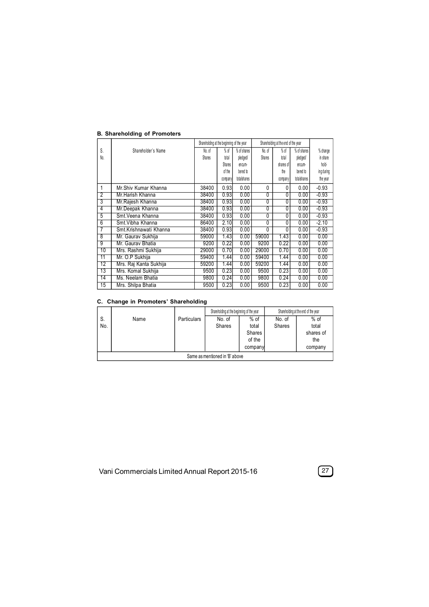|                 |                        | Shareholding at the beginning of the year |         |             |                | Shareholding at the end of the year |             |            |
|-----------------|------------------------|-------------------------------------------|---------|-------------|----------------|-------------------------------------|-------------|------------|
| S.              | Shareholder's Name     | No. of                                    | $%$ of  | % of shares | No. of         | $%$ of                              | % of shares | % change   |
| No.             |                        | Shares                                    | total   | pledged/    | Shares         | total                               | pledged/    | in share   |
|                 |                        |                                           | Shares  | encum-      |                | shares of                           | encum-      | hold-      |
|                 |                        |                                           | of the  | bered to    |                | the                                 | bered to    | ing during |
|                 |                        |                                           | company | totalshares |                | company                             | totalshares | the year   |
| 1               | Mr. Shiv Kumar Khanna  | 38400                                     | 0.93    | 0.00        | $\mathbf{0}$   | 0                                   | 0.00        | $-0.93$    |
| $\overline{2}$  | Mr Harish Khanna       | 38400                                     | 0.93    | 0.00        | $\mathbf{0}$   | 0                                   | 0.00        | $-0.93$    |
| 3               | Mr. Rajesh Khanna      | 38400                                     | 0.93    | 0.00        | $\overline{0}$ | 0                                   | 0.00        | $-0.93$    |
| 4               | Mr.Deepak Khanna       | 38400                                     | 0.93    | 0.00        | $\overline{0}$ | 0                                   | 0.00        | $-0.93$    |
| $\overline{5}$  | Smt. Veena Khanna      | 38400                                     | 0.93    | 0.00        | $\overline{0}$ | 0                                   | 0.00        | $-0.93$    |
| $\overline{6}$  | Smt. Vibha Khanna      | 86400                                     | 2.10    | 0.00        | $\overline{0}$ | 0                                   | 0.00        | $-2.10$    |
| 7               | Smt.Krishnawati Khanna | 38400                                     | 0.93    | 0.00        | $\Omega$       | 0                                   | 0.00        | $-0.93$    |
| $\overline{8}$  | Mr. Gaurav Sukhija     | 59000                                     | 1.43    | 0.00        | 59000          | 1.43                                | 0.00        | 0.00       |
| $\overline{9}$  | Mr. Gauray Bhatia      | 9200                                      | 0.22    | 0.00        | 9200           | 0.22                                | 0.00        | 0.00       |
| 10              | Mrs. Rashmi Sukhija    | 29000                                     | 0.70    | 0.00        | 29000          | 0.70                                | 0.00        | 0.00       |
| $\overline{11}$ | Mr. O.P Sukhija        | 59400                                     | 1.44    | 0.00        | 59400          | 1.44                                | 0.00        | 0.00       |
| $\overline{12}$ | Mrs. Raj Kanta Sukhija | 59200                                     | 1.44    | 0.00        | 59200          | 1.44                                | 0.00        | 0.00       |
| 13              | Mrs. Komal Sukhija     | 9500                                      | 0.23    | 0.00        | 9500           | 0.23                                | 0.00        | 0.00       |
| 14              | Ms. Neelam Bhatia      | 9800                                      | 0.24    | 0.00        | 9800           | 0.24                                | 0.00        | 0.00       |
| $\overline{15}$ | Mrs. Shilpa Bhatia     | 9500                                      | 0.23    | 0.00        | 9500           | 0.23                                | 0.00        | 0.00       |

#### **B. Shareholding of Promoters**

## **C. Change in Promoters' Shareholding**

|                                |      |                    | Shareholding at the beginning of the year |         |               | Shareholding at the end of the year |  |
|--------------------------------|------|--------------------|-------------------------------------------|---------|---------------|-------------------------------------|--|
| S.                             | Name | <b>Particulars</b> | No. of                                    | $%$ of  | No. of        | $%$ of                              |  |
| No.                            |      |                    | Shares                                    | total   | <b>Shares</b> | total                               |  |
|                                |      |                    |                                           | Shares  |               | shares of                           |  |
|                                |      |                    |                                           | of the  |               | the                                 |  |
|                                |      |                    |                                           | company |               | company                             |  |
| Same as mentioned in 'B' above |      |                    |                                           |         |               |                                     |  |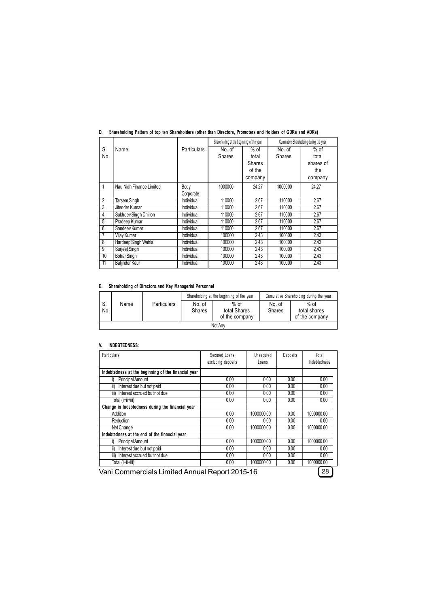|                |                          |                    | Shareholding at the beginning of the year |               |               | Cumulative Shareholding during the year |
|----------------|--------------------------|--------------------|-------------------------------------------|---------------|---------------|-----------------------------------------|
| S.             | Name                     | <b>Particulars</b> | No. of                                    | $%$ of        | No. of        | $%$ of                                  |
| No.            |                          |                    | <b>Shares</b>                             | total         | <b>Shares</b> | total                                   |
|                |                          |                    |                                           | <b>Shares</b> |               | shares of                               |
|                |                          |                    |                                           | of the        |               | the                                     |
|                |                          |                    |                                           | company       |               | company                                 |
| 1              | Nau Nidh Finance Limited | Body               | 1000000                                   | 24.27         | 1000000       | 24.27                                   |
|                |                          | Corporate          |                                           |               |               |                                         |
| $\overline{2}$ | <b>Tarsem Singh</b>      | Individual         | 110000                                    | 2.67          | 110000        | 2.67                                    |
| 3              | Jitender Kumar           | Individual         | 110000                                    | 2.67          | 110000        | 2.67                                    |
| 4              | Sukhdev Singh Dhillon    | Individual         | 110000                                    | 2.67          | 110000        | 2.67                                    |
| 5              | Pradeep Kumar            | Individual         | 110000                                    | 2.67          | 110000        | 2.67                                    |
| 6              | Sandeev Kumar            | Individual         | 110000                                    | 2.67          | 110000        | 2.67                                    |
| 7              | Vijay Kumar              | Individual         | 100000                                    | 2.43          | 100000        | 2.43                                    |
| 8              | Hardeep Singh Wahla      | Individual         | 100000                                    | 2.43          | 100000        | 2.43                                    |
| g              | Surjeet Singh            | Individual         | 100000                                    | 2.43          | 100000        | 2.43                                    |
| 10             | <b>Bohar Singh</b>       | Individual         | 100000                                    | 2.43          | 100000        | 2.43                                    |
| 11             | Baljinder Kaur           | Individual         | 100000                                    | 2.43          | 100000        | 2.43                                    |

## **D. Shareholding Pattern of top ten Shareholders (other than Directors, Promoters and Holders of GDRs and ADRs)**

#### **E. Shareholding of Directors and Key Managerial Personnel**

|           |         |                    |                  | Shareholding at the beginning of the year | Cumulative Shareholding during the year |                                          |  |  |  |
|-----------|---------|--------------------|------------------|-------------------------------------------|-----------------------------------------|------------------------------------------|--|--|--|
| S.<br>No. | Name    | <b>Particulars</b> | No. of<br>Shares | $%$ of<br>total Shares<br>of the company  | No. of<br><b>Shares</b>                 | $%$ of<br>total shares<br>of the company |  |  |  |
|           | Not Any |                    |                  |                                           |                                         |                                          |  |  |  |

## **V. INDEBTEDNESS:**

| Particulars                                         | Secured Loans<br>excluding deposits | Unsecured<br>Loans | Deposits | Total<br>Indebtedness |
|-----------------------------------------------------|-------------------------------------|--------------------|----------|-----------------------|
| Indebtedness at the beginning of the financial year |                                     |                    |          |                       |
| <b>Principal Amount</b>                             | 0.00                                | 0.00               | 0.00     | 0.00                  |
| ii)<br>Interest due but not paid                    | 0.00                                | 0.00               | 0.00     | 0.00                  |
| Interest accrued but not due<br>iii)                | 0.00                                | 0.00               | 0.00     | 0.00                  |
| Total (i+ii+iii)                                    | 0.00                                | 0.00               | 0.00     | 0.00                  |
| Change in Indebtedness during the financial year    |                                     |                    |          |                       |
| Addition                                            | 0.00                                | 1000000.00         | 0.00     | 1000000.00            |
| Reduction                                           | 0.00                                | 0.00               | 0.00     | 0.00                  |
| Net Change                                          | 0.00                                | 1000000.00         | 0.00     | 1000000.00            |
| Indebtedness at the end of the financial year       |                                     |                    |          |                       |
| <b>Principal Amount</b>                             | 0.00                                | 1000000.00         | 0.00     | 1000000.00            |
| ii)<br>Interest due but not paid                    | 0.00                                | 0.00               | 0.00     | 0.00                  |
| iii)<br>Interest accrued but not due                | 0.00                                | 0.00               | 0.00     | 0.00                  |
| Total (i+ii+iii)                                    | 0.00                                | 1000000.00         | 0.00     | 1000000.00            |

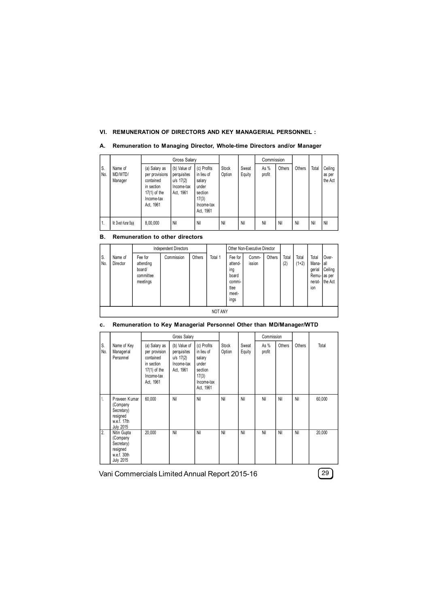## **VI. REMUNERATION OF DIRECTORS AND KEY MANAGERIAL PERSONNEL :**

|            |                               |                                                                                                         | Gross Salary                                                          |                                                                                             |                 |                 | Commission     |        |        |       |                              |
|------------|-------------------------------|---------------------------------------------------------------------------------------------------------|-----------------------------------------------------------------------|---------------------------------------------------------------------------------------------|-----------------|-----------------|----------------|--------|--------|-------|------------------------------|
| IS.<br>No. | Name of<br>MD/WTD/<br>Manager | (a) Salary as<br>per provisions<br>contained<br>in section<br>$17(1)$ of the<br>Income-tax<br>Act, 1961 | (b) Value of<br>perquisites<br>$u/s$ 17(2)<br>Income-tax<br>Act, 1961 | (c) Profits<br>in lieu of<br>salary<br>under<br>section<br>17(3)<br>Income-tax<br>Act. 1961 | Stock<br>Option | Sweat<br>Equity | As %<br>profit | Others | Others | Total | Ceiling<br>as per<br>the Act |
| 11.        | Mr. Divesh Kumar Bajaj        | 8.00.000                                                                                                | Nil                                                                   | Nil                                                                                         | Nil             | Nil             | Nil            | Nil    | Nil    | Nil   | Nil                          |

#### **A. Remuneration to Managing Director, Whole-time Directors and/or Manager**

## **B. Remuneration to other directors**

|           |                     | <b>Independent Directors</b>                            |            |        |         | Other Non-Executive Director                                          |                 |               |              |                  |                                                             |                             |
|-----------|---------------------|---------------------------------------------------------|------------|--------|---------|-----------------------------------------------------------------------|-----------------|---------------|--------------|------------------|-------------------------------------------------------------|-----------------------------|
| S.<br>No. | Name of<br>Director | Fee for<br>attending<br>board/<br>committee<br>meetings | Commission | Others | Total 1 | Fee for<br>attend-<br>ing<br>board<br>commi-<br>ttee<br>meet-<br>ings | Comm-<br>ission | <b>Others</b> | Total<br>(2) | Total<br>$(1+2)$ | Total<br>Mana-all<br>gerial<br>Remu-as per<br>nerat-<br>ion | Over-<br>Ceiling<br>the Act |
|           | <b>NOT ANY</b>      |                                                         |            |        |         |                                                                       |                 |               |              |                  |                                                             |                             |

## **c. Remuneration to Key Managerial Personnel Other than MD/Manager/WTD**

|                  |                                                                                        |                                                                                                        | Gross Salary                                                          |                                                                                             |                 | Commission      |                |        |        |        |
|------------------|----------------------------------------------------------------------------------------|--------------------------------------------------------------------------------------------------------|-----------------------------------------------------------------------|---------------------------------------------------------------------------------------------|-----------------|-----------------|----------------|--------|--------|--------|
| S.<br>No.        | Name of Key<br>Managerial<br>Personnel                                                 | (a) Salary as<br>per provision<br>contained<br>in section<br>$17(1)$ of the<br>Income-tax<br>Act, 1961 | (b) Value of<br>perquisites<br>$u/s$ 17(2)<br>Income-tax<br>Act, 1961 | (c) Profits<br>in lieu of<br>salary<br>under<br>section<br>17(3)<br>Income-tax<br>Act, 1961 | Stock<br>Option | Sweat<br>Equity | As %<br>profit | Others | Others | Total  |
| 1.               | Praveen Kumar<br>(Company<br>Secretary)<br>resigned<br>w.e.f. 17th<br><b>July 2015</b> | 60,000                                                                                                 | Nil                                                                   | Nil                                                                                         | Nil             | Nil             | Nil            | Nil    | Nil    | 60,000 |
| $\overline{2}$ . | Nitin Gupta<br>(Company<br>Secretary)<br>resigned<br>w.e.f. 30th<br><b>July 2015</b>   | 20.000                                                                                                 | Nil                                                                   | Nil                                                                                         | Nil             | Nil             | Nil            | Nil    | Nil    | 20.000 |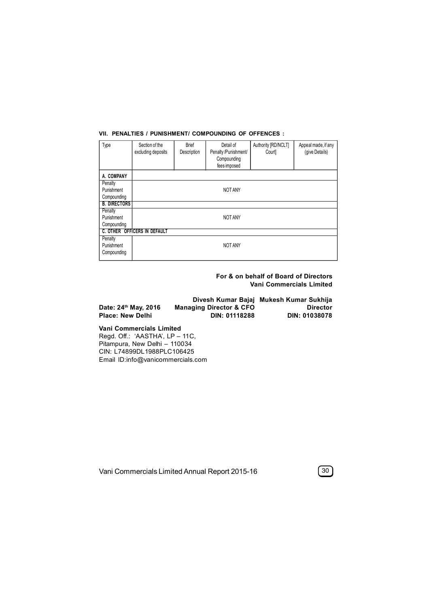#### **VII. PENALTIES / PUNISHMENT/ COMPOUNDING OF OFFENCES :**

| Type                | Section of the<br>excluding deposits | <b>Brief</b><br>Description | Detail of<br>Penalty/Punishment/<br>Compounding<br>fees imposed | Authority [RD/NCLT]<br>Court | Appeal made, if any<br>(give Details) |  |  |  |  |
|---------------------|--------------------------------------|-----------------------------|-----------------------------------------------------------------|------------------------------|---------------------------------------|--|--|--|--|
| A. COMPANY          |                                      |                             |                                                                 |                              |                                       |  |  |  |  |
| Penalty             |                                      |                             |                                                                 |                              |                                       |  |  |  |  |
| Punishment          |                                      | NOT ANY                     |                                                                 |                              |                                       |  |  |  |  |
| Compounding         |                                      |                             |                                                                 |                              |                                       |  |  |  |  |
| <b>B. DIRECTORS</b> |                                      |                             |                                                                 |                              |                                       |  |  |  |  |
| Penalty             |                                      |                             |                                                                 |                              |                                       |  |  |  |  |
| Punishment          |                                      |                             | NOT ANY                                                         |                              |                                       |  |  |  |  |
| Compounding         |                                      |                             |                                                                 |                              |                                       |  |  |  |  |
|                     | C. OTHER OFFICERS IN DEFAULT         |                             |                                                                 |                              |                                       |  |  |  |  |
| Penalty             |                                      |                             |                                                                 |                              |                                       |  |  |  |  |
| Punishment          |                                      |                             | NOT ANY                                                         |                              |                                       |  |  |  |  |
| Compounding         |                                      |                             |                                                                 |                              |                                       |  |  |  |  |
|                     |                                      |                             |                                                                 |                              |                                       |  |  |  |  |

**For & on behalf of Board of Directors Vani Commercials Limited**

|                      |                                    | Divesh Kumar Bajaj Mukesh Kumar Sukhija |
|----------------------|------------------------------------|-----------------------------------------|
| Date: 24th May, 2016 | <b>Managing Director &amp; CFO</b> | <b>Director</b>                         |
| Place: New Delhi     | DIN: 01118288                      | <b>DIN: 01038078</b>                    |

**Vani Commercials Limited** Regd. Off.: 'AASTHA', LP – 11C, Pitampura, New Delhi – 110034 CIN: L74899DL1988PLC106425 Email ID:info@vanicommercials.com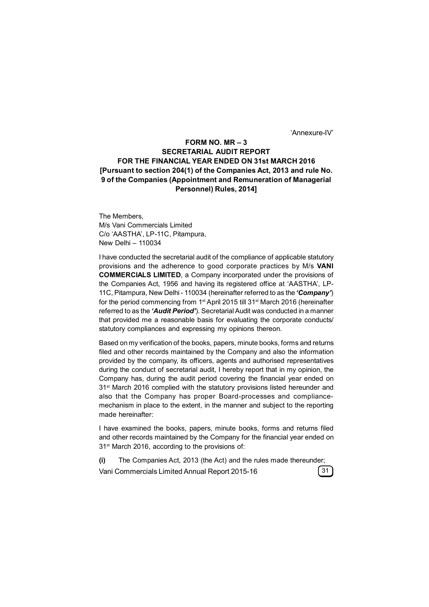'Annexure-IV'

## **FORM NO. MR – 3 SECRETARIAL AUDIT REPORT FOR THE FINANCIAL YEAR ENDED ON 31st MARCH 2016 [Pursuant to section 204(1) of the Companies Act, 2013 and rule No. 9 of the Companies (Appointment and Remuneration of Managerial Personnel) Rules, 2014]**

The Members, M/s Vani Commercials Limited C/o 'AASTHA', LP-11C, Pitampura, New Delhi – 110034

I have conducted the secretarial audit of the compliance of applicable statutory provisions and the adherence to good corporate practices by M/s **VANI COMMERCIALS LIMITED**, a Company incorporated under the provisions of the Companies Act, 1956 and having its registered office at 'AASTHA', LP-11C, Pitampura, New Delhi - 110034 (hereinafter referred to as the *'Company'*) for the period commencing from 1st April 2015 till 31st March 2016 (hereinafter referred to as the *'Audit Period'*). Secretarial Audit was conducted in a manner that provided me a reasonable basis for evaluating the corporate conducts/ statutory compliances and expressing my opinions thereon.

Based on my verification of the books, papers, minute books, forms and returns filed and other records maintained by the Company and also the information provided by the company, its officers, agents and authorised representatives during the conduct of secretarial audit, I hereby report that in my opinion, the Company has, during the audit period covering the financial year ended on 31<sup>st</sup> March 2016 complied with the statutory provisions listed hereunder and also that the Company has proper Board-processes and compliancemechanism in place to the extent, in the manner and subject to the reporting made hereinafter:

I have examined the books, papers, minute books, forms and returns filed and other records maintained by the Company for the financial year ended on 31st March 2016, according to the provisions of:

**(i)** The Companies Act, 2013 (the Act) and the rules made thereunder; Vani Commercials Limited Annual Report 2015-16 **31**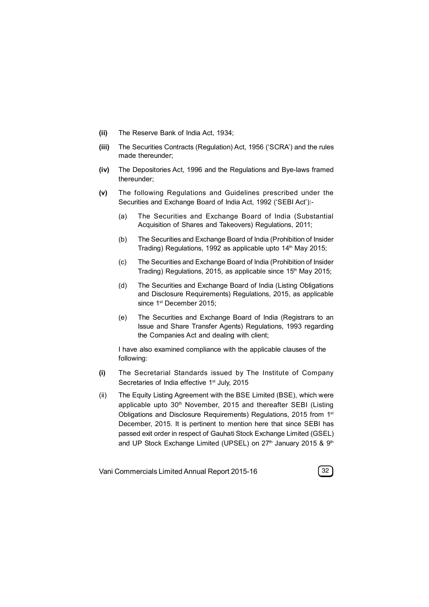- **(ii)** The Reserve Bank of India Act, 1934;
- **(iii)** The Securities Contracts (Regulation) Act, 1956 ('SCRA') and the rules made thereunder;
- **(iv)** The Depositories Act, 1996 and the Regulations and Bye-laws framed thereunder;
- **(v)** The following Regulations and Guidelines prescribed under the Securities and Exchange Board of India Act, 1992 ('SEBI Act'):-
	- (a) The Securities and Exchange Board of India (Substantial Acquisition of Shares and Takeovers) Regulations, 2011;
	- (b) The Securities and Exchange Board of India (Prohibition of Insider Trading) Regulations, 1992 as applicable upto 14<sup>th</sup> May 2015;
	- (c) The Securities and Exchange Board of India (Prohibition of Insider Trading) Regulations, 2015, as applicable since  $15<sup>th</sup>$  May 2015;
	- (d) The Securities and Exchange Board of India (Listing Obligations and Disclosure Requirements) Regulations, 2015, as applicable since 1<sup>st</sup> December 2015;
	- (e) The Securities and Exchange Board of India (Registrars to an Issue and Share Transfer Agents) Regulations, 1993 regarding the Companies Act and dealing with client;

I have also examined compliance with the applicable clauses of the following:

- **(i)** The Secretarial Standards issued by The Institute of Company Secretaries of India effective 1<sup>st</sup> July, 2015
- (ii) The Equity Listing Agreement with the BSE Limited (BSE), which were applicable upto 30<sup>th</sup> November, 2015 and thereafter SEBI (Listing Obligations and Disclosure Requirements) Regulations, 2015 from 1st December, 2015. It is pertinent to mention here that since SEBI has passed exit order in respect of Gauhati Stock Exchange Limited (GSEL) and UP Stock Exchange Limited (UPSEL) on  $27<sup>th</sup>$  January 2015 &  $9<sup>th</sup>$

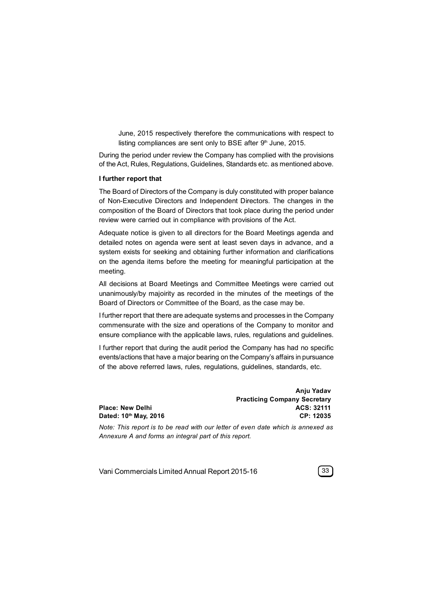June, 2015 respectively therefore the communications with respect to listing compliances are sent only to BSE after  $9<sup>th</sup>$  June, 2015.

During the period under review the Company has complied with the provisions of the Act, Rules, Regulations, Guidelines, Standards etc. as mentioned above.

#### **I further report that**

The Board of Directors of the Company is duly constituted with proper balance of Non-Executive Directors and Independent Directors. The changes in the composition of the Board of Directors that took place during the period under review were carried out in compliance with provisions of the Act.

Adequate notice is given to all directors for the Board Meetings agenda and detailed notes on agenda were sent at least seven days in advance, and a system exists for seeking and obtaining further information and clarifications on the agenda items before the meeting for meaningful participation at the meeting.

All decisions at Board Meetings and Committee Meetings were carried out unanimously/by majoirity as recorded in the minutes of the meetings of the Board of Directors or Committee of the Board, as the case may be.

I further report that there are adequate systems and processes in the Company commensurate with the size and operations of the Company to monitor and ensure compliance with the applicable laws, rules, regulations and guidelines.

I further report that during the audit period the Company has had no specific events/actions that have a major bearing on the Company's affairs in pursuance of the above referred laws, rules, regulations, guidelines, standards, etc.

|                       | Anju Yadav                          |
|-----------------------|-------------------------------------|
|                       | <b>Practicing Company Secretary</b> |
| Place: New Delhi      | ACS: 32111                          |
| Dated: 10th May, 2016 | CP: 12035                           |
|                       |                                     |

*Note: This report is to be read with our letter of even date which is annexed as Annexure A and forms an integral part of this report.*

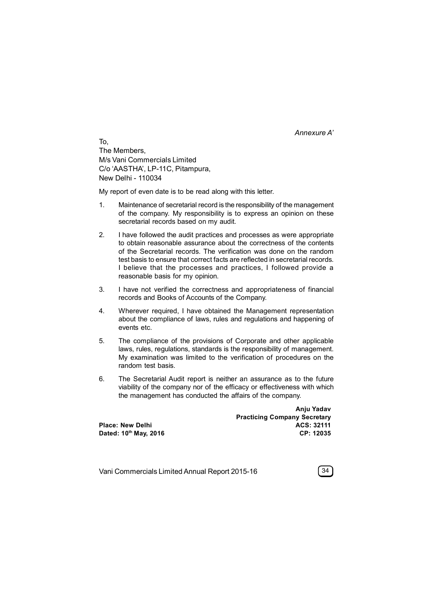*Annexure A'*

To, The Members, M/s Vani Commercials Limited C/o 'AASTHA', LP-11C, Pitampura, New Delhi - 110034

My report of even date is to be read along with this letter.

- 1. Maintenance of secretarial record is the responsibility of the management of the company. My responsibility is to express an opinion on these secretarial records based on my audit.
- 2. I have followed the audit practices and processes as were appropriate to obtain reasonable assurance about the correctness of the contents of the Secretarial records. The verification was done on the random test basis to ensure that correct facts are reflected in secretarial records. I believe that the processes and practices, I followed provide a reasonable basis for my opinion.
- 3. I have not verified the correctness and appropriateness of financial records and Books of Accounts of the Company.
- 4. Wherever required, I have obtained the Management representation about the compliance of laws, rules and regulations and happening of events etc.
- 5. The compliance of the provisions of Corporate and other applicable laws, rules, regulations, standards is the responsibility of management. My examination was limited to the verification of procedures on the random test basis.
- 6. The Secretarial Audit report is neither an assurance as to the future viability of the company nor of the efficacy or effectiveness with which the management has conducted the affairs of the company.

**Practicing Company Secretary Place: New Delhi ACS: 32111 Dated: 10th May, 2016 CP: 12035**

Vani Commercials Limited Annual Report 2015-16 **34**



**Anju Yadav**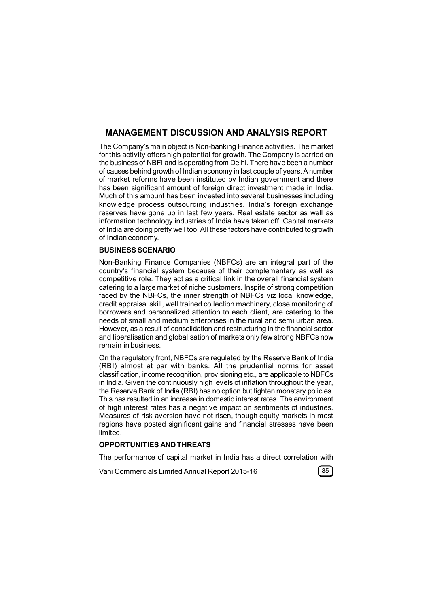# **MANAGEMENT DISCUSSION AND ANALYSIS REPORT**

The Company's main object is Non-banking Finance activities. The market for this activity offers high potential for growth. The Company is carried on the business of NBFI and is operating from Delhi. There have been a number of causes behind growth of Indian economy in last couple of years. A number of market reforms have been instituted by Indian government and there has been significant amount of foreign direct investment made in India. Much of this amount has been invested into several businesses including knowledge process outsourcing industries. India's foreign exchange reserves have gone up in last few years. Real estate sector as well as information technology industries of India have taken off. Capital markets of India are doing pretty well too. All these factors have contributed to growth of Indian economy.

## **BUSINESS SCENARIO**

Non-Banking Finance Companies (NBFCs) are an integral part of the country's financial system because of their complementary as well as competitive role. They act as a critical link in the overall financial system catering to a large market of niche customers. Inspite of strong competition faced by the NBFCs, the inner strength of NBFCs viz local knowledge, credit appraisal skill, well trained collection machinery, close monitoring of borrowers and personalized attention to each client, are catering to the needs of small and medium enterprises in the rural and semi urban area. However, as a result of consolidation and restructuring in the financial sector and liberalisation and globalisation of markets only few strong NBFCs now remain in business.

On the regulatory front, NBFCs are regulated by the Reserve Bank of India (RBI) almost at par with banks. All the prudential norms for asset classification, income recognition, provisioning etc., are applicable to NBFCs in India. Given the continuously high levels of inflation throughout the year, the Reserve Bank of India (RBI) has no option but tighten monetary policies. This has resulted in an increase in domestic interest rates. The environment of high interest rates has a negative impact on sentiments of industries. Measures of risk aversion have not risen, though equity markets in most regions have posted significant gains and financial stresses have been limited.

## **OPPORTUNITIES AND THREATS**

The performance of capital market in India has a direct correlation with

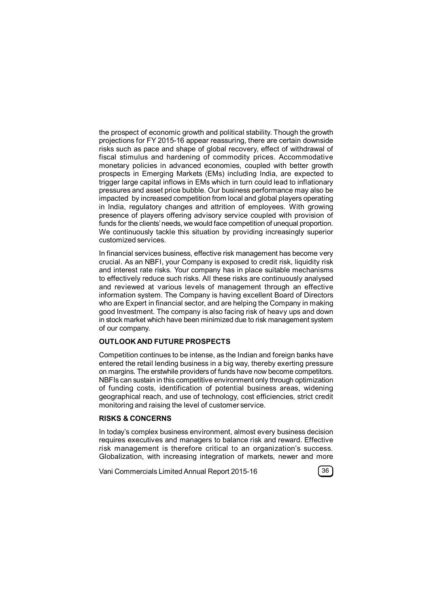the prospect of economic growth and political stability. Though the growth projections for FY 2015-16 appear reassuring, there are certain downside risks such as pace and shape of global recovery, effect of withdrawal of fiscal stimulus and hardening of commodity prices. Accommodative monetary policies in advanced economies, coupled with better growth prospects in Emerging Markets (EMs) including India, are expected to trigger large capital inflows in EMs which in turn could lead to inflationary pressures and asset price bubble. Our business performance may also be impacted by increased competition from local and global players operating in India, regulatory changes and attrition of employees. With growing presence of players offering advisory service coupled with provision of funds for the clients' needs, we would face competition of unequal proportion. We continuously tackle this situation by providing increasingly superior customized services.

In financial services business, effective risk management has become very crucial. As an NBFI, your Company is exposed to credit risk, liquidity risk and interest rate risks. Your company has in place suitable mechanisms to effectively reduce such risks. All these risks are continuously analysed and reviewed at various levels of management through an effective information system. The Company is having excellent Board of Directors who are Expert in financial sector, and are helping the Company in making good Investment. The company is also facing risk of heavy ups and down in stock market which have been minimized due to risk management system of our company.

### **OUTLOOK AND FUTURE PROSPECTS**

Competition continues to be intense, as the Indian and foreign banks have entered the retail lending business in a big way, thereby exerting pressure on margins. The erstwhile providers of funds have now become competitors. NBFIs can sustain in this competitive environment only through optimization of funding costs, identification of potential business areas, widening geographical reach, and use of technology, cost efficiencies, strict credit monitoring and raising the level of customer service.

### **RISKS & CONCERNS**

In today's complex business environment, almost every business decision requires executives and managers to balance risk and reward. Effective risk management is therefore critical to an organization's success. Globalization, with increasing integration of markets, newer and more

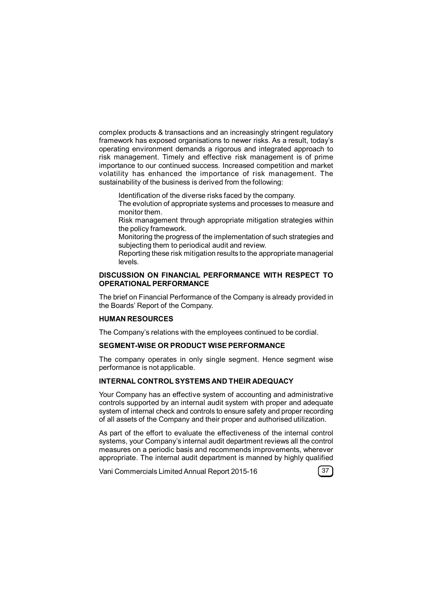complex products & transactions and an increasingly stringent regulatory framework has exposed organisations to newer risks. As a result, today's operating environment demands a rigorous and integrated approach to risk management. Timely and effective risk management is of prime importance to our continued success. Increased competition and market volatility has enhanced the importance of risk management. The sustainability of the business is derived from the following:

- Identification of the diverse risks faced by the company.
- The evolution of appropriate systems and processes to measure and monitor them.
- Risk management through appropriate mitigation strategies within the policy framework.
- Monitoring the progress of the implementation of such strategies and subjecting them to periodical audit and review.
- Reporting these risk mitigation results to the appropriate managerial levels.

## **DISCUSSION ON FINANCIAL PERFORMANCE WITH RESPECT TO OPERATIONAL PERFORMANCE**

The brief on Financial Performance of the Company is already provided in the Boards' Report of the Company.

## **HUMAN RESOURCES**

The Company's relations with the employees continued to be cordial.

## **SEGMENT-WISE OR PRODUCT WISE PERFORMANCE**

The company operates in only single segment. Hence segment wise performance is not applicable.

### **INTERNAL CONTROL SYSTEMS AND THEIR ADEQUACY**

Your Company has an effective system of accounting and administrative controls supported by an internal audit system with proper and adequate system of internal check and controls to ensure safety and proper recording of all assets of the Company and their proper and authorised utilization.

As part of the effort to evaluate the effectiveness of the internal control systems, your Company's internal audit department reviews all the control measures on a periodic basis and recommends improvements, wherever appropriate. The internal audit department is manned by highly qualified

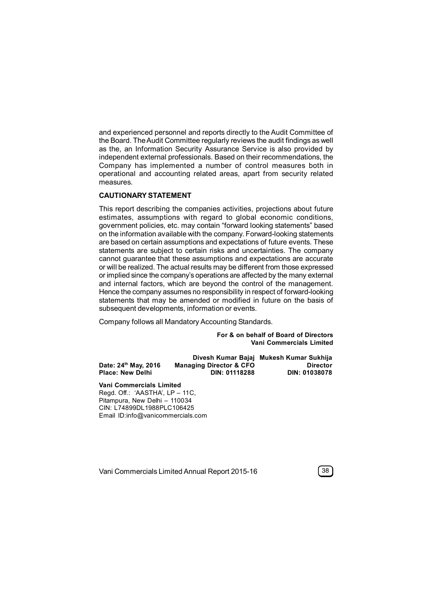and experienced personnel and reports directly to the Audit Committee of the Board. The Audit Committee regularly reviews the audit findings as well as the, an Information Security Assurance Service is also provided by independent external professionals. Based on their recommendations, the Company has implemented a number of control measures both in operational and accounting related areas, apart from security related measures.

### **CAUTIONARY STATEMENT**

This report describing the companies activities, projections about future estimates, assumptions with regard to global economic conditions, government policies, etc. may contain "forward looking statements" based on the information available with the company. Forward-looking statements are based on certain assumptions and expectations of future events. These statements are subject to certain risks and uncertainties. The company cannot guarantee that these assumptions and expectations are accurate or will be realized. The actual results may be different from those expressed or implied since the company's operations are affected by the many external and internal factors, which are beyond the control of the management. Hence the company assumes no responsibility in respect of forward-looking statements that may be amended or modified in future on the basis of subsequent developments, information or events.

Company follows all Mandatory Accounting Standards.

**For & on behalf of Board of Directors Vani Commercials Limited**

|                         |                                    | Divesh Kumar Bajaj Mukesh Kumar Sukhija |
|-------------------------|------------------------------------|-----------------------------------------|
| Date: 24th May, 2016    | <b>Managing Director &amp; CFO</b> | <b>Director</b>                         |
| <b>Place: New Delhi</b> | DIN: 01118288                      | <b>DIN: 01038078</b>                    |

**Vani Commercials Limited** Regd. Off.: 'AASTHA', LP – 11C,

Pitampura, New Delhi – 110034 CIN: L74899DL1988PLC106425 Email ID:info@vanicommercials.com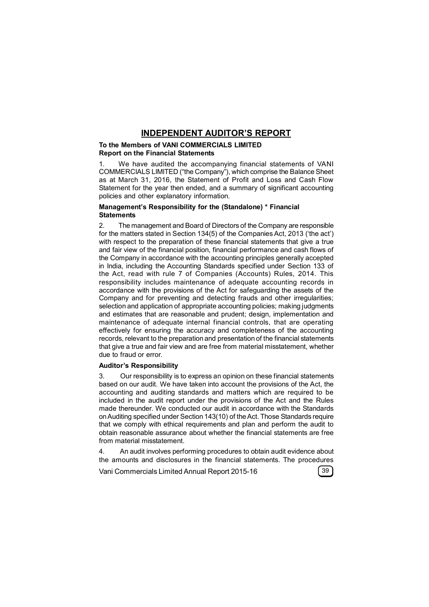## **INDEPENDENT AUDITOR'S REPORT**

#### **To the Members of VANI COMMERCIALS LIMITED Report on the Financial Statements**

1. We have audited the accompanying financial statements of VANI COMMERCIALS LIMITED ("the Company"), which comprise the Balance Sheet as at March 31, 2016, the Statement of Profit and Loss and Cash Flow Statement for the year then ended, and a summary of significant accounting policies and other explanatory information.

### **Management's Responsibility for the (Standalone) \* Financial Statements**

2. The management and Board of Directors of the Company are responsible for the matters stated in Section 134(5) of the Companies Act, 2013 ('the act') with respect to the preparation of these financial statements that give a true and fair view of the financial position, financial performance and cash flows of the Company in accordance with the accounting principles generally accepted in India, including the Accounting Standards specified under Section 133 of the Act, read with rule 7 of Companies (Accounts) Rules, 2014. This responsibility includes maintenance of adequate accounting records in accordance with the provisions of the Act for safeguarding the assets of the Company and for preventing and detecting frauds and other irregularities; selection and application of appropriate accounting policies; making judgments and estimates that are reasonable and prudent; design, implementation and maintenance of adequate internal financial controls, that are operating effectively for ensuring the accuracy and completeness of the accounting records, relevant to the preparation and presentation of the financial statements that give a true and fair view and are free from material misstatement, whether due to fraud or error.

### **Auditor's Responsibility**

3. Our responsibility is to express an opinion on these financial statements based on our audit. We have taken into account the provisions of the Act, the accounting and auditing standards and matters which are required to be included in the audit report under the provisions of the Act and the Rules made thereunder. We conducted our audit in accordance with the Standards on Auditing specified under Section 143(10) of the Act. Those Standards require that we comply with ethical requirements and plan and perform the audit to obtain reasonable assurance about whether the financial statements are free from material misstatement.

4. An audit involves performing procedures to obtain audit evidence about the amounts and disclosures in the financial statements. The procedures

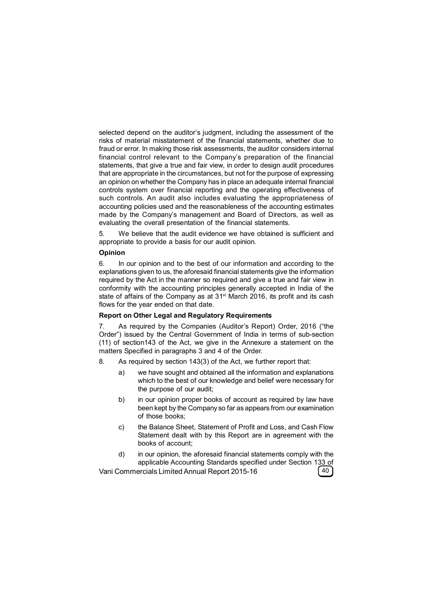selected depend on the auditor's judgment, including the assessment of the risks of material misstatement of the financial statements, whether due to fraud or error. In making those risk assessments, the auditor considers internal financial control relevant to the Company's preparation of the financial statements, that give a true and fair view, in order to design audit procedures that are appropriate in the circumstances, but not for the purpose of expressing an opinion on whether the Company has in place an adequate internal financial controls system over financial reporting and the operating effectiveness of such controls. An audit also includes evaluating the appropriateness of accounting policies used and the reasonableness of the accounting estimates made by the Company's management and Board of Directors, as well as evaluating the overall presentation of the financial statements.

5. We believe that the audit evidence we have obtained is sufficient and appropriate to provide a basis for our audit opinion.

### **Opinion**

6. In our opinion and to the best of our information and according to the explanations given to us, the aforesaid financial statements give the information required by the Act in the manner so required and give a true and fair view in conformity with the accounting principles generally accepted in India of the state of affairs of the Company as at 31<sup>st</sup> March 2016, its profit and its cash flows for the year ended on that date.

#### **Report on Other Legal and Regulatory Requirements**

7. As required by the Companies (Auditor's Report) Order, 2016 ("the Order") issued by the Central Government of India in terms of sub-section (11) of section143 of the Act, we give in the Annexure a statement on the matters Specified in paragraphs 3 and 4 of the Order.

- 8. As required by section 143(3) of the Act, we further report that:
	- a) we have sought and obtained all the information and explanations which to the best of our knowledge and belief were necessary for the purpose of our audit;
	- b) in our opinion proper books of account as required by law have been kept by the Company so far as appears from our examination of those books;
	- c) the Balance Sheet, Statement of Profit and Loss, and Cash Flow Statement dealt with by this Report are in agreement with the books of account;
- d) in our opinion, the aforesaid financial statements comply with the applicable Accounting Standards specified under Section 133 of<br>ercials Limited Annual Report 2015-16 Vani Commercials Limited Annual Report 2015-16 **40**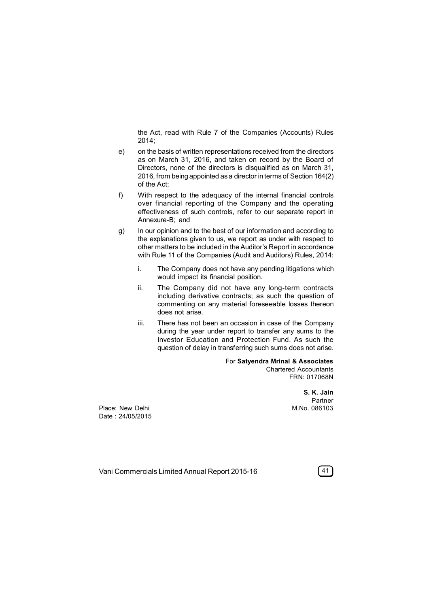the Act, read with Rule 7 of the Companies (Accounts) Rules 2014;

- e) on the basis of written representations received from the directors as on March 31, 2016, and taken on record by the Board of Directors, none of the directors is disqualified as on March 31, 2016, from being appointed as a director in terms of Section 164(2) of the Act;
- f) With respect to the adequacy of the internal financial controls over financial reporting of the Company and the operating effectiveness of such controls, refer to our separate report in Annexure-B; and
- g) In our opinion and to the best of our information and according to the explanations given to us, we report as under with respect to other matters to be included in the Auditor's Report in accordance with Rule 11 of the Companies (Audit and Auditors) Rules, 2014:
	- i. The Company does not have any pending litigations which would impact its financial position.
	- ii. The Company did not have any long-term contracts including derivative contracts; as such the question of commenting on any material foreseeable losses thereon does not arise.
	- iii. There has not been an occasion in case of the Company during the year under report to transfer any sums to the Investor Education and Protection Fund. As such the question of delay in transferring such sums does not arise.

For **Satyendra Mrinal & Associates** Chartered Accountants FRN: 017068N

> **S. K. Jain** Partner<br>M.No. 086103

Place: New Delhi Date : 24/05/2015

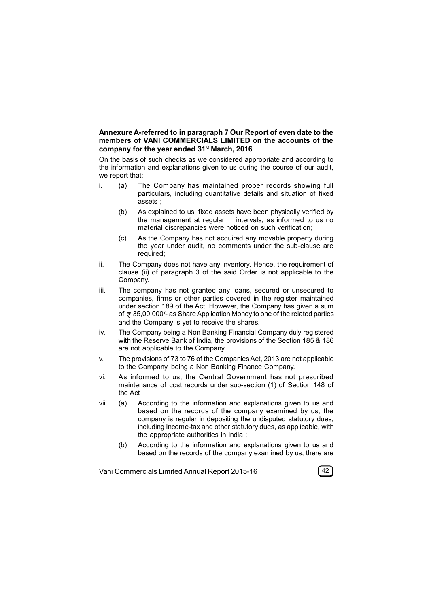### **Annexure A-referred to in paragraph 7 Our Report of even date to the members of VANI COMMERCIALS LIMITED on the accounts of the company for the year ended 31st March, 2016**

On the basis of such checks as we considered appropriate and according to the information and explanations given to us during the course of our audit, we report that:

- i. (a) The Company has maintained proper records showing full particulars, including quantitative details and situation of fixed assets ;
	- (b) As explained to us, fixed assets have been physically verified by the management at regular intervals; as informed to us no intervals; as informed to us no material discrepancies were noticed on such verification;
	- (c) As the Company has not acquired any movable property during the year under audit, no comments under the sub-clause are required;
- ii. The Company does not have any inventory. Hence, the requirement of clause (ii) of paragraph 3 of the said Order is not applicable to the Company.
- iii. The company has not granted any loans, secured or unsecured to companies, firms or other parties covered in the register maintained under section 189 of the Act. However, the Company has given a sum of  $\overline{x}$  35,00,000/- as Share Application Money to one of the related parties and the Company is yet to receive the shares.
- iv. The Company being a Non Banking Financial Company duly registered with the Reserve Bank of India, the provisions of the Section 185 & 186 are not applicable to the Company.
- v. The provisions of 73 to 76 of the Companies Act, 2013 are not applicable to the Company, being a Non Banking Finance Company.
- vi. As informed to us, the Central Government has not prescribed maintenance of cost records under sub-section (1) of Section 148 of the Act
- vii. (a) According to the information and explanations given to us and based on the records of the company examined by us, the company is regular in depositing the undisputed statutory dues, including Income-tax and other statutory dues, as applicable, with the appropriate authorities in India ;
	- (b) According to the information and explanations given to us and based on the records of the company examined by us, there are

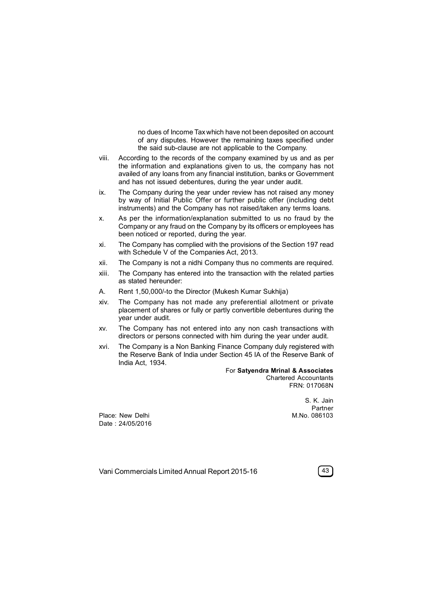no dues of Income Tax which have not been deposited on account of any disputes. However the remaining taxes specified under the said sub-clause are not applicable to the Company.

- viii. According to the records of the company examined by us and as per the information and explanations given to us, the company has not availed of any loans from any financial institution, banks or Government and has not issued debentures, during the year under audit.
- ix. The Company during the year under review has not raised any money by way of Initial Public Offer or further public offer (including debt instruments) and the Company has not raised/taken any terms loans.
- x. As per the information/explanation submitted to us no fraud by the Company or any fraud on the Company by its officers or employees has been noticed or reported, during the year.
- xi. The Company has complied with the provisions of the Section 197 read with Schedule V of the Companies Act, 2013.
- xii. The Company is not a nidhi Company thus no comments are required.
- xiii. The Company has entered into the transaction with the related parties as stated hereunder:
- A. Rent 1,50,000/-to the Director (Mukesh Kumar Sukhija)
- xiv. The Company has not made any preferential allotment or private placement of shares or fully or partly convertible debentures during the year under audit.
- xv. The Company has not entered into any non cash transactions with directors or persons connected with him during the year under audit.
- xvi. The Company is a Non Banking Finance Company duly registered with the Reserve Bank of India under Section 45 IA of the Reserve Bank of India Act, 1934.

#### For **Satyendra Mrinal & Associates** Chartered Accountants FRN: 017068N

Place: New Delhi Date : 24/05/2016

S. K. Jain Partner<br>M.No. 086103

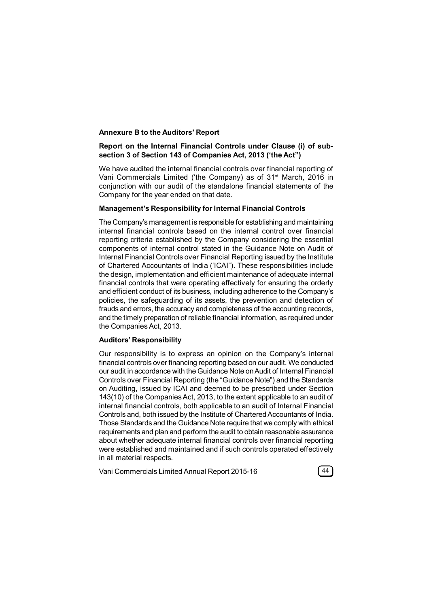### **Annexure B to the Auditors' Report**

## **Report on the Internal Financial Controls under Clause (i) of subsection 3 of Section 143 of Companies Act, 2013 ('the Act")**

We have audited the internal financial controls over financial reporting of Vani Commercials Limited ('the Company) as of 31<sup>st</sup> March, 2016 in conjunction with our audit of the standalone financial statements of the Company for the year ended on that date.

### **Management's Responsibility for Internal Financial Controls**

The Company's management is responsible for establishing and maintaining internal financial controls based on the internal control over financial reporting criteria established by the Company considering the essential components of internal control stated in the Guidance Note on Audit of Internal Financial Controls over Financial Reporting issued by the Institute of Chartered Accountants of India ('ICAI"). These responsibilities include the design, implementation and efficient maintenance of adequate internal financial controls that were operating effectively for ensuring the orderly and efficient conduct of its business, including adherence to the Company's policies, the safeguarding of its assets, the prevention and detection of frauds and errors, the accuracy and completeness of the accounting records, and the timely preparation of reliable financial information, as required under the Companies Act, 2013.

### **Auditors' Responsibility**

Our responsibility is to express an opinion on the Company's internal financial controls over financing reporting based on our audit. We conducted our audit in accordance with the Guidance Note on Audit of Internal Financial Controls over Financial Reporting (the "Guidance Note") and the Standards on Auditing, issued by ICAI and deemed to be prescribed under Section 143(10) of the Companies Act, 2013, to the extent applicable to an audit of internal financial controls, both applicable to an audit of Internal Financial Controls and, both issued by the Institute of Chartered Accountants of India. Those Standards and the Guidance Note require that we comply with ethical requirements and plan and perform the audit to obtain reasonable assurance about whether adequate internal financial controls over financial reporting were established and maintained and if such controls operated effectively in all material respects.

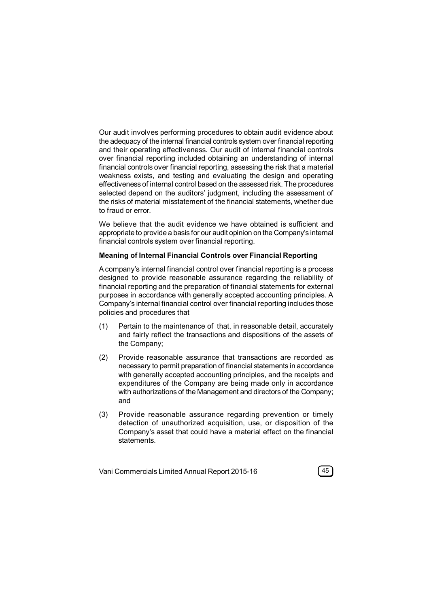Our audit involves performing procedures to obtain audit evidence about the adequacy of the internal financial controls system over financial reporting and their operating effectiveness. Our audit of internal financial controls over financial reporting included obtaining an understanding of internal financial controls over financial reporting, assessing the risk that a material weakness exists, and testing and evaluating the design and operating effectiveness of internal control based on the assessed risk. The procedures selected depend on the auditors' judgment, including the assessment of the risks of material misstatement of the financial statements, whether due to fraud or error.

We believe that the audit evidence we have obtained is sufficient and appropriate to provide a basis for our audit opinion on the Company's internal financial controls system over financial reporting.

### **Meaning of Internal Financial Controls over Financial Reporting**

A company's internal financial control over financial reporting is a process designed to provide reasonable assurance regarding the reliability of financial reporting and the preparation of financial statements for external purposes in accordance with generally accepted accounting principles. A Company's internal financial control over financial reporting includes those policies and procedures that

- (1) Pertain to the maintenance of that, in reasonable detail, accurately and fairly reflect the transactions and dispositions of the assets of the Company;
- (2) Provide reasonable assurance that transactions are recorded as necessary to permit preparation of financial statements in accordance with generally accepted accounting principles, and the receipts and expenditures of the Company are being made only in accordance with authorizations of the Management and directors of the Company; and
- (3) Provide reasonable assurance regarding prevention or timely detection of unauthorized acquisition, use, or disposition of the Company's asset that could have a material effect on the financial statements.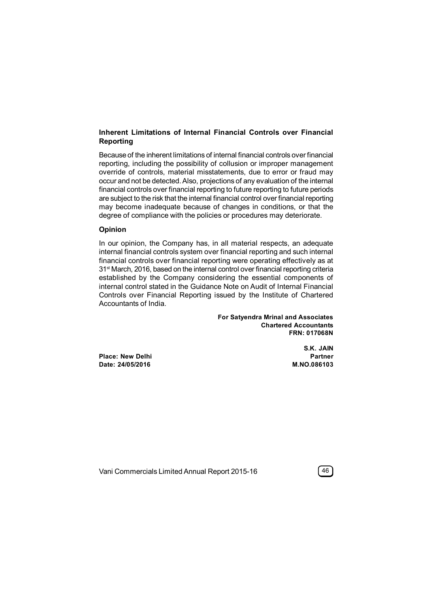## **Inherent Limitations of Internal Financial Controls over Financial Reporting**

Because of the inherent limitations of internal financial controls over financial reporting, including the possibility of collusion or improper management override of controls, material misstatements, due to error or fraud may occur and not be detected. Also, projections of any evaluation of the internal financial controls over financial reporting to future reporting to future periods are subject to the risk that the internal financial control over financial reporting may become inadequate because of changes in conditions, or that the degree of compliance with the policies or procedures may deteriorate.

### **Opinion**

In our opinion, the Company has, in all material respects, an adequate internal financial controls system over financial reporting and such internal financial controls over financial reporting were operating effectively as at 31<sup>st</sup> March, 2016, based on the internal control over financial reporting criteria established by the Company considering the essential components of internal control stated in the Guidance Note on Audit of Internal Financial Controls over Financial Reporting issued by the Institute of Chartered Accountants of India.

> **For Satyendra Mrinal and Associates Chartered Accountants FRN: 017068N**

**Place: New Delhi Partner Date: 24/05/2016 M.NO.086103**

**S.K. JAIN**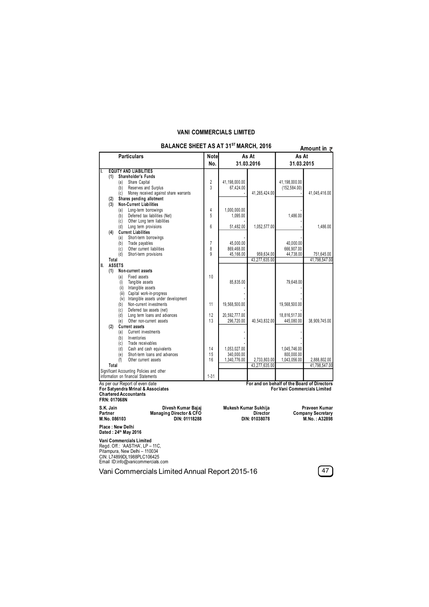## **VANI COMMERCIALS LIMITED**

|           |                  | BALANCE SHEET AS AT 31 <sup>s</sup> ' MARCH, 2016   |                |                      |                 |               | Amount in $\bar{z}$                         |
|-----------|------------------|-----------------------------------------------------|----------------|----------------------|-----------------|---------------|---------------------------------------------|
|           |                  | <b>Particulars</b>                                  | Notel          | As At                |                 | As At         |                                             |
|           |                  |                                                     | No.            |                      | 31.03.2016      | 31.03.2015    |                                             |
| Т.        |                  | <b>EQUITY AND LIABILITIES</b>                       |                |                      |                 |               |                                             |
| (1)       |                  | Shareholder's Funds                                 |                |                      |                 |               |                                             |
|           | (a)              | Share Capital                                       | $\overline{2}$ | 41,198,000.00        |                 | 41,198,000.00 |                                             |
|           | (b)              | Reserves and Surplus                                | 3              | 67,424.00            |                 | (152, 584.00) |                                             |
|           | (c)              | Money received against share warrants               |                |                      | 41,265,424.00   |               | 41,045,416.00                               |
|           | (2)<br>(3)       | Shares pending allotment<br>Non-Current Liabilities |                |                      |                 |               |                                             |
|           | (a)              | Long-term borrowings                                | 4              | 1,000,000.00         |                 |               |                                             |
|           | (b)              | Deferred tax liabilities (Net)                      | 5              | 1,095.00             |                 | 1.486.00      |                                             |
|           | (c)              | Other Long term liabilities                         |                |                      |                 |               |                                             |
|           | (d)              | Long term provisions                                | 6              | 51,482.00            | 1,052,577.00    |               | 1,486.00                                    |
| (4)       |                  | <b>Current Liabilities</b>                          |                |                      |                 |               |                                             |
|           | (a)              | Short-term borrowings                               |                |                      |                 |               |                                             |
|           | (b)              | Trade payables                                      | $\overline{1}$ | 45.000.00            |                 | 40,000.00     |                                             |
|           | (c)              | Other current liabilities                           | 8              | 869,468.00           |                 | 666,907.00    |                                             |
|           | (d)              | Short-term provisions                               | 9              | 45,166.00            | 959,634.00      | 44,738.00     | 751,645.00                                  |
|           | Total            |                                                     |                |                      | 43,277,635.00   |               | 41,798,547.00                               |
| II.       | <b>ASSETS</b>    |                                                     |                |                      |                 |               |                                             |
| (1)       |                  | Non-current assets                                  |                |                      |                 |               |                                             |
|           | (a)              | Fixed assets                                        | 10             |                      |                 |               |                                             |
|           | (i)<br>(ii)      | Tangible assets<br>Intangible assets                |                | 85,835.00            |                 | 79,648.00     |                                             |
|           |                  | (iii) Capital work-in-progress                      |                |                      |                 |               |                                             |
|           |                  | (iv) Intangible assets under development            |                |                      |                 |               |                                             |
|           | (b)              | Non-current investments                             | 11             | 19,568,500.00        |                 | 19,568,500.00 |                                             |
|           | (c)              | Deferred tax assets (net)                           |                |                      |                 |               |                                             |
|           | (d)              | Long term loans and advances                        | 12             | 20,592,777.00        |                 | 18,816,517.00 |                                             |
|           | (e)              | Other non-current assets                            | 13             | 296,720.00           | 40,543,832.00   | 445,080.00    | 38,909,745.00                               |
| (2)       |                  | <b>Current assets</b>                               |                |                      |                 |               |                                             |
|           | (a)              | Current investments                                 |                |                      |                 |               |                                             |
|           | (b)              | Inventories                                         |                |                      |                 |               |                                             |
|           | (c)              | Trade receivables                                   |                |                      |                 |               |                                             |
|           | (d)              | Cash and cash equivalents                           | 14             | 1.053.027.00         |                 | 1.045.746.00  |                                             |
|           | (e)              | Short-term loans and advances                       | 15             | 340.000.00           |                 | 800.000.00    |                                             |
|           | (f)<br>Total     | Other current assets                                | 16             | 1,340,776.00         | 2,733,803.00    | 1,043,056.00  | 2,888,802.00                                |
|           |                  | Significant Accounting Policies and other           |                |                      | 43,277,635.00   |               | 41,798,547.00                               |
|           |                  | information on financial Statements                 | $1 - 31$       |                      |                 |               |                                             |
|           |                  | As per our Report of even date                      |                |                      |                 |               | For and on behalf of the Board of Directors |
|           |                  | For Satyendra Mrinal & Associates                   |                |                      |                 |               | <b>For Vani Commercials Limited</b>         |
|           |                  | <b>Chartered Accountants</b>                        |                |                      |                 |               |                                             |
|           | FRN: 017068N     |                                                     |                |                      |                 |               |                                             |
| S.K. Jain |                  | Divesh Kumar Bajaj                                  |                | Mukesh Kumar Sukhija |                 |               | Praveen Kumar                               |
| Partner   |                  | Managing Director & CFO                             |                |                      | <b>Director</b> |               | <b>Company Secretary</b>                    |
|           | M.No. 086103     | DIN: 01118288                                       |                |                      | DIN: 01038078   |               | M.No.: A32898                               |
|           | Place: New Delhi | Dated: 24th May 2016                                |                |                      |                 |               |                                             |
|           |                  | Vani Commercials Limited                            |                |                      |                 |               |                                             |
|           |                  | Regd. Off.: 'AASTHA', LP - 11C,                     |                |                      |                 |               |                                             |
|           |                  | Pitampura, New Delhi - 110034                       |                |                      |                 |               |                                             |
|           |                  | CIN: L74899DL1988PLC106425                          |                |                      |                 |               |                                             |
|           |                  | Email ID:info@vanicommercials.com                   |                |                      |                 |               |                                             |

**BALANCE SHEET AS AT 31ST MARCH, 2016**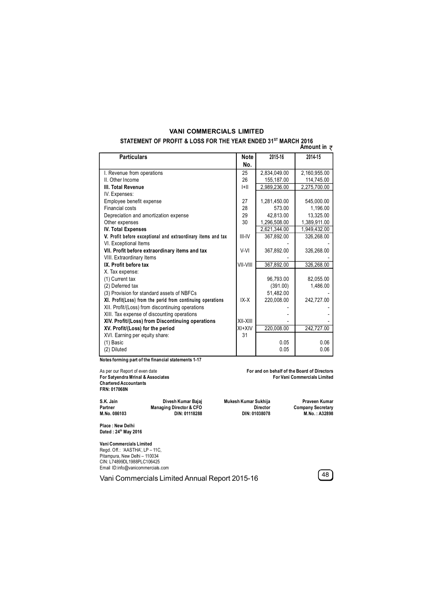# **VANI COMMERCIALS LIMITED**

#### **STATEMENT OF PROFIT & LOSS FOR THE YEAR ENDED 31ST MARCH 2016 Amount in**

| <b>Particulars</b>                                           | <b>Note</b> | 2015-16      | 2014-15      |
|--------------------------------------------------------------|-------------|--------------|--------------|
|                                                              | No.         |              |              |
| I. Revenue from operations                                   | 25          | 2,834,049.00 | 2,160,955.00 |
| II. Other Income                                             | 26          | 155,187.00   | 114,745.00   |
| III. Total Revenue                                           | H           | 2,989,236.00 | 2,275,700.00 |
| IV. Expenses:                                                |             |              |              |
| Employee benefit expense                                     | 27          | 1,281,450.00 | 545,000.00   |
| Financial costs                                              | 28          | 573.00       | 1,196.00     |
| Depreciation and amortization expense                        | 29          | 42,813.00    | 13,325.00    |
| Other expenses                                               | 30          | 1,296,508.00 | 1,389,911.00 |
| <b>IV. Total Expenses</b>                                    |             | 2,621,344.00 | 1,949,432.00 |
| V. Profit before exceptional and extraordinary items and tax | III-IV      | 367,892.00   | 326,268.00   |
| VI. Exceptional Items                                        |             |              |              |
| VII. Profit before extraordinary items and tax               | V-VI        | 367,892.00   | 326,268.00   |
| VIII. Extraordinary Items                                    |             |              |              |
| IX. Profit before tax                                        | VII-VIII    | 367,892.00   | 326,268.00   |
| X. Tax expense:                                              |             |              |              |
| (1) Current tax                                              |             | 96,793.00    | 82,055.00    |
| (2) Deferred tax                                             |             | (391.00)     | 1,486.00     |
| (3) Provision for standard assets of NBFCs                   |             | 51.482.00    |              |
| XI. Profit(Loss) from the perid from continuing operations   | $IX-X$      | 220,008.00   | 242,727.00   |
| XII. Profit/(Loss) from discontinuing operations             |             |              |              |
| XIII. Tax expense of discounting operations                  |             |              |              |
| XIV. Profit/(Loss) from Discontinuing operations             | XII-XIII    |              |              |
| XV. Profit/(Loss) for the period                             | $XI+XIV$    | 220,008.00   | 242,727.00   |
| XVI. Earning per equity share:                               | 31          |              |              |
| $(1)$ Basic                                                  |             | 0.05         | 0.06         |
| (2) Diluted                                                  |             | 0.05         | 0.06         |

**Notes forming part of the financial statements 1-17**

**Chartered Accountants FRN: 017068N**

As per our Report of even date **For and on behalf of the Board of Directors For Satyendra Mrinal & Associates For Vani Commercials Limited**

**S.K. Jain Divesh Kumar Bajaj Mukesh Kumar Sukhija Praveen Kumar Partner Managing Director & CFO Director Company Secretary M.No. 086103 DIN: 01118288 DIN: 01038078 M.No. : A32898**

**Place : New Delhi Dated : 24th May 2016**

**Vani Commercials Limited** Regd. Off.: 'AASTHA', LP – 11C, Pitampura, New Delhi – 110034 CIN: L74899DL1988PLC106425 Email ID:info@vanicommercials.com

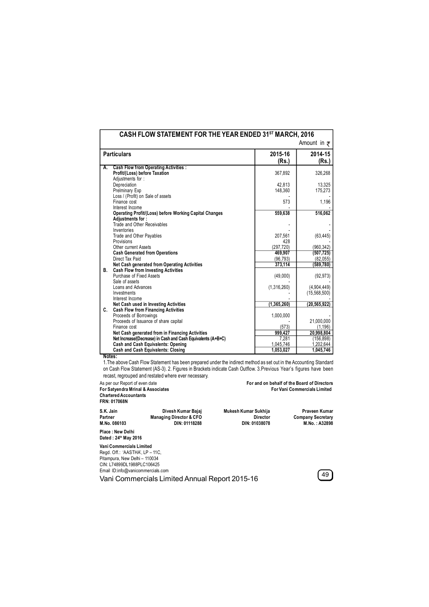|                                                                                   |               | Amount in $\bar{z}$ |
|-----------------------------------------------------------------------------------|---------------|---------------------|
| <b>Particulars</b>                                                                | 2015-16       | 2014-15             |
|                                                                                   | (Rs.)         | (Rs.)               |
| <b>Cash Flow from Operating Activities:</b><br>А.                                 |               |                     |
| Profit/(Loss) before Taxation                                                     | 367,892       | 326,268             |
| Adjustments for:                                                                  |               |                     |
| Depreciation                                                                      | 42.813        | 13,325              |
| Prelminary Exp                                                                    | 148,360       | 175,273             |
| Loss / (Profit) on Sale of assets                                                 |               |                     |
| Finance cost                                                                      | 573           | 1,196               |
| Interest Income                                                                   | 559,638       | 516,062             |
| <b>Operating Profit/(Loss) before Working Capital Changes</b><br>Adjustments for: |               |                     |
| Trade and Other Receivables                                                       |               |                     |
| Inventories                                                                       |               |                     |
| Trade and Other Payables                                                          | 207,561       | (63, 445)           |
| Provisions                                                                        | 428           |                     |
| Other current Assets                                                              | (297.720)     | (960.342)           |
| <b>Cash Generated from Operations</b>                                             | 469.907       | (507, 725)          |
| Direct Tax Paid                                                                   | (96, 793)     | (82,055)            |
| Net Cash generated from Operating Activities                                      | 373,114       | (589, 780)          |
| <b>Cash Flow from Investing Activities</b><br>В.                                  |               |                     |
| Purchase of Fixed Assets                                                          | (49,000)      | (92, 973)           |
| Sale of assets                                                                    |               |                     |
| Loans and Advances                                                                | (1,316,260)   | (4.904, 449)        |
| Investments                                                                       |               | (15, 568, 500)      |
| Interest Income                                                                   |               |                     |
| Net Cash used in Investing Activities                                             | (1, 365, 260) | (20, 565, 922)      |
| C.<br><b>Cash Flow from Financing Activities</b>                                  |               |                     |
| Proceeds of Borrowings                                                            | 1,000,000     |                     |
| Proceeds of Issuance of share capital                                             |               | 21,000,000          |
| Finance cost                                                                      | (573)         | (1, 196)            |
| Net Cash generated from in Financing Activities                                   | 999.427       | 20,998,804          |
| Net Increase/(Decrease) in Cash and Cash Equivalents (A+B+C)                      | 7.281         | (156, 898)          |
| <b>Cash and Cash Equivalents: Opening</b>                                         | 1,045,746     | 1,202,644           |
| <b>Cash and Cash Equivalents: Closing</b><br>Notes:                               | 1,053,027     | 1,045,746           |

1.The above Cash Flow Statement has been prepared under the indirect method as set out in the Accounting Standard on Cash Flow Statement (AS-3). 2. Figures in Brackets indicate Cash Outflow. 3.Previous Year's figures have been recast, regrouped and restated where ever necessary.

**For Satyendra Mrinal & Associates**<br>**For Satyendra Mrinal & Associates Chartered Accountants FRN: 017068N**

As per our Report of even date **For and on behalf of the Board of Directors**

**S.K. Jain Divesh Kumar Bajaj Mukesh Kumar Sukhija Praveen Kumar**

**Partner Managing Director & CFO Director Company Secretary M.No. 086103 DIN: 01118288 DIN: 01038078 M.No. : A32898**

**Place : New Delhi Dated : 24th May 2016**

**Vani Commercials Limited** Regd. Off.: 'AASTHA', LP – 11C, Pitampura, New Delhi – 110034 CIN: L74899DL1988PLC106425 Email ID:info@vanicommercials.com

Email ID:into@vanicommercials.com<br> **Vani Commercials Limited Annual Report 2015-16 49** 

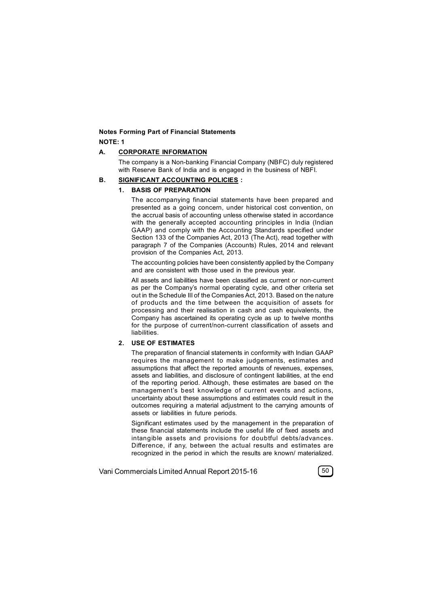### **Notes Forming Part of Financial Statements NOTE: 1**

#### **A. CORPORATE INFORMATION**

The company is a Non-banking Financial Company (NBFC) duly registered with Reserve Bank of India and is engaged in the business of NBFI.

#### **B. SIGNIFICANT ACCOUNTING POLICIES :**

#### **1. BASIS OF PREPARATION**

The accompanying financial statements have been prepared and presented as a going concern, under historical cost convention, on the accrual basis of accounting unless otherwise stated in accordance with the generally accepted accounting principles in India (Indian GAAP) and comply with the Accounting Standards specified under Section 133 of the Companies Act, 2013 (The Act), read together with paragraph 7 of the Companies (Accounts) Rules, 2014 and relevant provision of the Companies Act, 2013.

The accounting policies have been consistently applied by the Company and are consistent with those used in the previous year.

All assets and liabilities have been classified as current or non-current as per the Company's normal operating cycle, and other criteria set out in the Schedule III of the Companies Act, 2013. Based on the nature of products and the time between the acquisition of assets for processing and their realisation in cash and cash equivalents, the Company has ascertained its operating cycle as up to twelve months for the purpose of current/non-current classification of assets and liabilities.

## **2. USE OF ESTIMATES**

The preparation of financial statements in conformity with Indian GAAP requires the management to make judgements, estimates and assumptions that affect the reported amounts of revenues, expenses, assets and liabilities, and disclosure of contingent liabilities, at the end of the reporting period. Although, these estimates are based on the management's best knowledge of current events and actions, uncertainty about these assumptions and estimates could result in the outcomes requiring a material adjustment to the carrying amounts of assets or liabilities in future periods.

Significant estimates used by the management in the preparation of these financial statements include the useful life of fixed assets and intangible assets and provisions for doubtful debts/advances. Difference, if any, between the actual results and estimates are recognized in the period in which the results are known/ materialized.

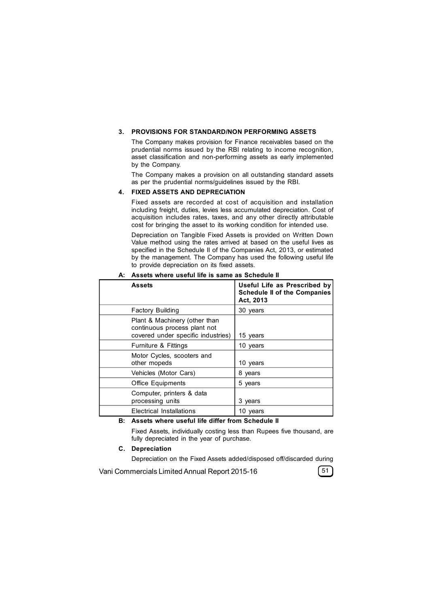#### **3. PROVISIONS FOR STANDARD/NON PERFORMING ASSETS**

The Company makes provision for Finance receivables based on the prudential norms issued by the RBI relating to income recognition, asset classification and non-performing assets as early implemented by the Company.

The Company makes a provision on all outstanding standard assets as per the prudential norms/guidelines issued by the RBI.

#### **4. FIXED ASSETS AND DEPRECIATION**

Fixed assets are recorded at cost of acquisition and installation including freight, duties, levies less accumulated depreciation. Cost of acquisition includes rates, taxes, and any other directly attributable cost for bringing the asset to its working condition for intended use.

Depreciation on Tangible Fixed Assets is provided on Written Down Value method using the rates arrived at based on the useful lives as specified in the Schedule II of the Companies Act, 2013, or estimated by the management. The Company has used the following useful life to provide depreciation on its fixed assets.

| <b>Assets</b>                                                                                       | Useful Life as Prescribed by<br><b>Schedule II of the Companies</b><br>Act, 2013 |
|-----------------------------------------------------------------------------------------------------|----------------------------------------------------------------------------------|
| <b>Factory Building</b>                                                                             | 30 years                                                                         |
| Plant & Machinery (other than<br>continuous process plant not<br>covered under specific industries) | 15 years                                                                         |
| Furniture & Fittings                                                                                | 10 years                                                                         |
| Motor Cycles, scooters and<br>other mopeds                                                          | 10 years                                                                         |
| Vehicles (Motor Cars)                                                                               | 8 years                                                                          |
| <b>Office Equipments</b>                                                                            | 5 years                                                                          |
| Computer, printers & data<br>processing units                                                       | 3 years                                                                          |
| Electrical Installations                                                                            | 10 years                                                                         |

**A: Assets where useful life is same as Schedule II**

#### **B: Assets where useful life differ from Schedule II**

Fixed Assets, individually costing less than Rupees five thousand, are fully depreciated in the year of purchase.

#### **C. Depreciation**

Depreciation on the Fixed Assets added/disposed off/discarded during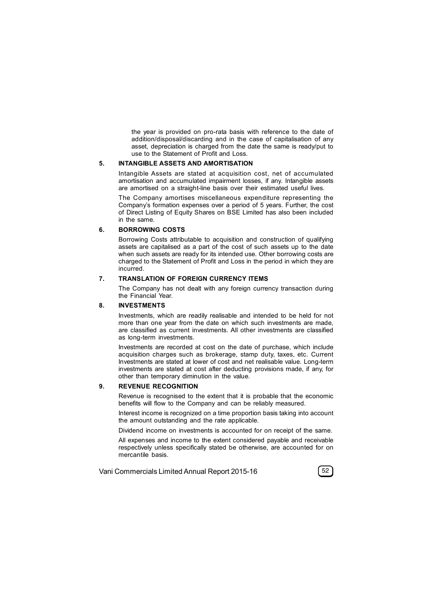the year is provided on pro-rata basis with reference to the date of addition/disposal/discarding and in the case of capitalisation of any asset, depreciation is charged from the date the same is ready/put to use to the Statement of Profit and Loss.

#### **5. INTANGIBLE ASSETS AND AMORTISATION**

Intangible Assets are stated at acquisition cost, net of accumulated amortisation and accumulated impairment losses, if any. Intangible assets are amortised on a straight-line basis over their estimated useful lives.

The Company amortises miscellaneous expenditure representing the Company's formation expenses over a period of 5 years. Further, the cost of Direct Listing of Equity Shares on BSE Limited has also been included in the same.

#### **6. BORROWING COSTS**

Borrowing Costs attributable to acquisition and construction of qualifying assets are capitalised as a part of the cost of such assets up to the date when such assets are ready for its intended use. Other borrowing costs are charged to the Statement of Profit and Loss in the period in which they are incurred.

#### **7. TRANSLATION OF FOREIGN CURRENCY ITEMS**

The Company has not dealt with any foreign currency transaction during the Financial Year.

#### **8. INVESTMENTS**

Investments, which are readily realisable and intended to be held for not more than one year from the date on which such investments are made, are classified as current investments. All other investments are classified as long-term investments.

Investments are recorded at cost on the date of purchase, which include acquisition charges such as brokerage, stamp duty, taxes, etc. Current Investments are stated at lower of cost and net realisable value. Long-term investments are stated at cost after deducting provisions made, if any, for other than temporary diminution in the value.

#### **9. REVENUE RECOGNITION**

Revenue is recognised to the extent that it is probable that the economic benefits will flow to the Company and can be reliably measured.

Interest income is recognized on a time proportion basis taking into account the amount outstanding and the rate applicable.

Dividend income on investments is accounted for on receipt of the same.

All expenses and income to the extent considered payable and receivable respectively unless specifically stated be otherwise, are accounted for on mercantile basis.

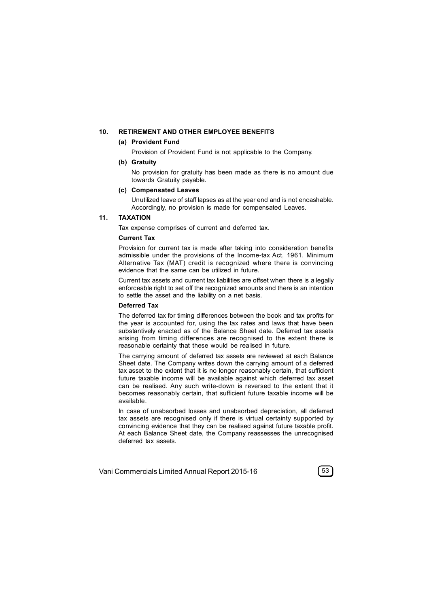#### **10. RETIREMENT AND OTHER EMPLOYEE BENEFITS**

#### **(a) Provident Fund**

Provision of Provident Fund is not applicable to the Company.

### **(b) Gratuity**

No provision for gratuity has been made as there is no amount due towards Gratuity payable.

#### **(c) Compensated Leaves**

Unutilized leave of staff lapses as at the year end and is not encashable. Accordingly, no provision is made for compensated Leaves.

### **11. TAXATION**

Tax expense comprises of current and deferred tax.

### **Current Tax**

Provision for current tax is made after taking into consideration benefits admissible under the provisions of the Income-tax Act, 1961. Minimum Alternative Tax (MAT) credit is recognized where there is convincing evidence that the same can be utilized in future.

Current tax assets and current tax liabilities are offset when there is a legally enforceable right to set off the recognized amounts and there is an intention to settle the asset and the liability on a net basis.

#### **Deferred Tax**

The deferred tax for timing differences between the book and tax profits for the year is accounted for, using the tax rates and laws that have been substantively enacted as of the Balance Sheet date. Deferred tax assets arising from timing differences are recognised to the extent there is reasonable certainty that these would be realised in future.

The carrying amount of deferred tax assets are reviewed at each Balance Sheet date. The Company writes down the carrying amount of a deferred tax asset to the extent that it is no longer reasonably certain, that sufficient future taxable income will be available against which deferred tax asset can be realised. Any such write-down is reversed to the extent that it becomes reasonably certain, that sufficient future taxable income will be available.

In case of unabsorbed losses and unabsorbed depreciation, all deferred tax assets are recognised only if there is virtual certainty supported by convincing evidence that they can be realised against future taxable profit. At each Balance Sheet date, the Company reassesses the unrecognised deferred tax assets.

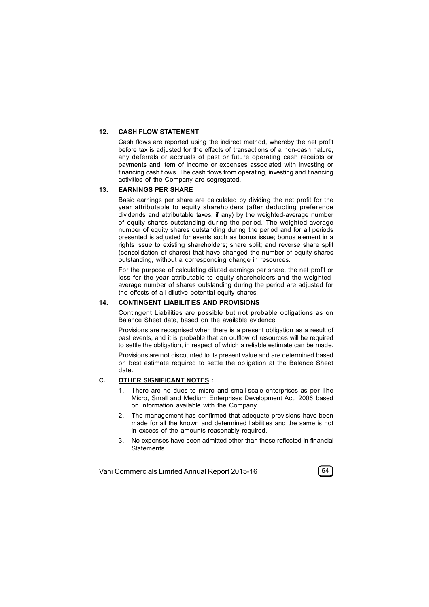#### **12. CASH FLOW STATEMENT**

Cash flows are reported using the indirect method, whereby the net profit before tax is adjusted for the effects of transactions of a non-cash nature, any deferrals or accruals of past or future operating cash receipts or payments and item of income or expenses associated with investing or financing cash flows. The cash flows from operating, investing and financing activities of the Company are segregated.

#### **13. EARNINGS PER SHARE**

Basic earnings per share are calculated by dividing the net profit for the year attributable to equity shareholders (after deducting preference dividends and attributable taxes, if any) by the weighted-average number of equity shares outstanding during the period. The weighted-average number of equity shares outstanding during the period and for all periods presented is adjusted for events such as bonus issue; bonus element in a rights issue to existing shareholders; share split; and reverse share split (consolidation of shares) that have changed the number of equity shares outstanding, without a corresponding change in resources.

For the purpose of calculating diluted earnings per share, the net profit or loss for the year attributable to equity shareholders and the weightedaverage number of shares outstanding during the period are adjusted for the effects of all dilutive potential equity shares.

#### **14. CONTINGENT LIABILITIES AND PROVISIONS**

Contingent Liabilities are possible but not probable obligations as on Balance Sheet date, based on the available evidence.

Provisions are recognised when there is a present obligation as a result of past events, and it is probable that an outflow of resources will be required to settle the obligation, in respect of which a reliable estimate can be made.

Provisions are not discounted to its present value and are determined based on best estimate required to settle the obligation at the Balance Sheet date.

#### **C. OTHER SIGNIFICANT NOTES :**

- 1. There are no dues to micro and small-scale enterprises as per The Micro, Small and Medium Enterprises Development Act, 2006 based on information available with the Company.
- 2. The management has confirmed that adequate provisions have been made for all the known and determined liabilities and the same is not in excess of the amounts reasonably required.
- 3. No expenses have been admitted other than those reflected in financial **Statements**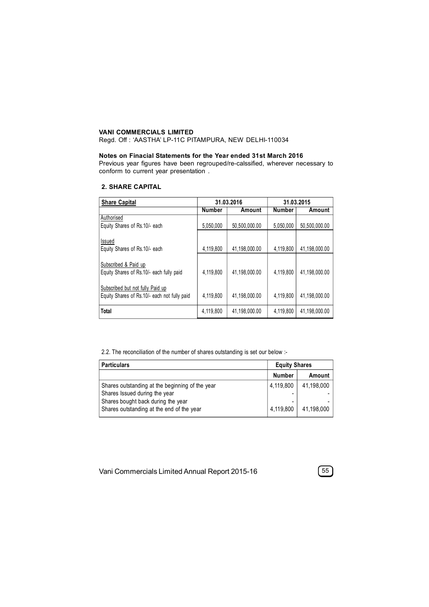### **VANI COMMERCIALS LIMITED**

Regd. Off : 'AASTHA' LP-11C PITAMPURA, NEW DELHI-110034

#### **Notes on Finacial Statements for the Year ended 31st March 2016**

Previous year figures have been regrouped/re-calssified, wherever necessary to conform to current year presentation .

### **2. SHARE CAPITAL**

| <b>Share Capital</b>                                                             | 31.03.2016    |               | 31.03.2015    |               |
|----------------------------------------------------------------------------------|---------------|---------------|---------------|---------------|
|                                                                                  | <b>Number</b> | Amount        | <b>Number</b> | Amount        |
| Authorised<br>Equity Shares of Rs.10/- each                                      | 5,050,000     | 50,500,000.00 | 5,050,000     | 50,500,000.00 |
| Issued<br>Equity Shares of Rs.10/- each                                          | 4,119,800     | 41,198,000.00 | 4,119,800     | 41,198,000.00 |
| Subscribed & Paid up<br>Equity Shares of Rs.10/- each fully paid                 | 4,119,800     | 41.198.000.00 | 4.119.800     | 41.198.000.00 |
| Subscribed but not fully Paid up<br>Equity Shares of Rs.10/- each not fully paid | 4.119.800     | 41.198.000.00 | 4.119.800     | 41,198,000.00 |
| Total                                                                            | 4.119.800     | 41.198.000.00 | 4.119.800     | 41.198.000.00 |

2.2. The reconciliation of the number of shares outstanding is set our below :-

| <b>Particulars</b>                                                               | <b>Equity Shares</b> |            |
|----------------------------------------------------------------------------------|----------------------|------------|
|                                                                                  | <b>Number</b>        | Amount     |
| Shares outstanding at the beginning of the year<br>Shares Issued during the year | 4,119,800            | 41,198,000 |
| Shares bought back during the year<br>Shares outstanding at the end of the year  | 4,119,800            | 41.198.000 |

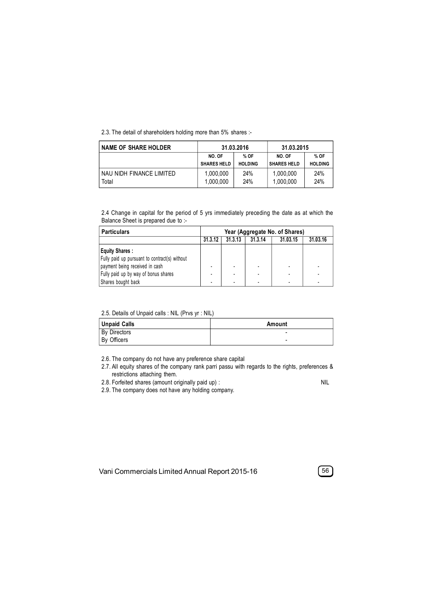2.3. The detail of shareholders holding more than 5% shares :-

| <b>NAME OF SHARE HOLDER</b>       | 31.03.2016             |                | 31.03.2015             |                |
|-----------------------------------|------------------------|----------------|------------------------|----------------|
|                                   | NO. OF                 | % OF           | NO. OF                 | % OF           |
|                                   | <b>SHARES HELD</b>     | <b>HOLDING</b> | <b>SHARES HELD</b>     | <b>HOLDING</b> |
| NAU NIDH FINANCE LIMITED<br>Total | 1,000,000<br>1,000,000 | 24%<br>24%     | 1,000,000<br>1,000,000 | 24%<br>24%     |

2.4 Change in capital for the period of 5 yrs immediately preceding the date as at which the Balance Sheet is prepared due to :-

| <b>Particulars</b>                            | Year (Aggregate No. of Shares) |         |         |          |          |
|-----------------------------------------------|--------------------------------|---------|---------|----------|----------|
|                                               | 31.3.12                        | 31.3.13 | 31.3.14 | 31.03.15 | 31.03.16 |
| <b>Equity Shares:</b>                         |                                |         |         |          |          |
| Fully paid up pursuant to contract(s) without |                                |         |         |          |          |
| payment being received in cash                |                                |         |         | ٠        |          |
| Fully paid up by way of bonus shares          |                                |         |         | ۰        |          |
| Shares bought back                            |                                |         |         |          |          |

2.5. Details of Unpaid calls : NIL (Prvs yr : NIL)

| Unpaid Calls        | Amount                   |
|---------------------|--------------------------|
| <b>By Directors</b> | -                        |
| By Officers         | $\overline{\phantom{0}}$ |

2.6. The company do not have any preference share capital

2.7. All equity shares of the company rank parri passu with regards to the rights, preferences & restrictions attaching them.

2.8. Forfeited shares (amount originally paid up) : NIL

2.9. The company does not have any holding company.

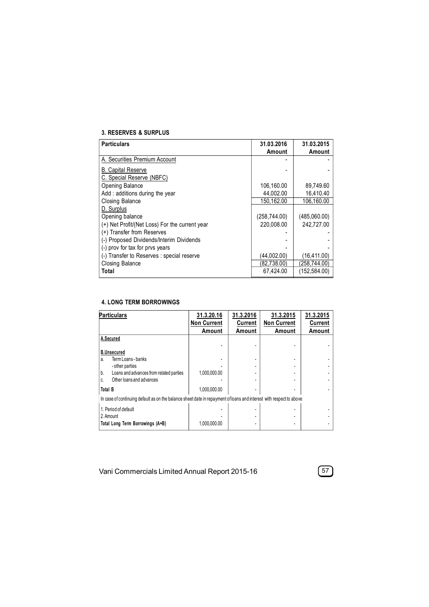## **3. RESERVES & SURPLUS**

| <b>Particulars</b>                             | 31.03.2016    | 31.03.2015   |
|------------------------------------------------|---------------|--------------|
|                                                | Amount        | Amount       |
| A. Securities Premium Account                  |               |              |
| <b>B.</b> Capital Reserve                      |               |              |
| C. Special Reserve (NBFC)                      |               |              |
| Opening Balance                                | 106,160.00    | 89.749.60    |
| Add: additions during the year                 | 44.002.00     | 16,410.40    |
| Closing Balance                                | 150,162.00    | 106,160.00   |
| D. Surplus                                     |               |              |
| Opening balance                                | (258, 744.00) | (485,060.00) |
| (+) Net Profit/(Net Loss) For the current year | 220.008.00    | 242.727.00   |
| (+) Transfer from Reserves                     |               |              |
| (-) Proposed Dividends/Interim Dividends       |               |              |
| (-) prov for tax for prvs years                |               |              |
| (-) Transfer to Reserves : special reserve     | (44,002.00)   | (16,411.00)  |
| Closing Balance                                | (82,738.00)   | (258,744.00) |
| Total                                          | 67.424.00     | (152,584.00) |

## **4. LONG TERM BORROWINGS**

| <b>Particulars</b>                                                                                                                                   | 31.3.20.16<br><b>Non Current</b><br>Amount | 31.3.2016<br>Current<br>Amount | 31.3.2015<br><b>Non Current</b><br>Amount | 31.3.2015<br>Current<br>Amount |
|------------------------------------------------------------------------------------------------------------------------------------------------------|--------------------------------------------|--------------------------------|-------------------------------------------|--------------------------------|
| A.Secured                                                                                                                                            |                                            |                                |                                           |                                |
| <b>B.Unsecured</b><br>Term Loans - banks<br>a.<br>- other parties<br>Loans and advances from related parties<br>b.<br>Other loans and advances<br>C. | 1,000,000.00                               |                                |                                           |                                |
| <b>Total B</b>                                                                                                                                       | 1,000,000.00                               |                                |                                           |                                |
| In case of continuing default as on the balance sheet date in repayment of loans and interest with respect to above                                  |                                            |                                |                                           |                                |
| 1. Period of default<br>2. Amount<br>Total Long Term Borrowings (A+B)                                                                                | 1,000,000.00                               |                                |                                           |                                |

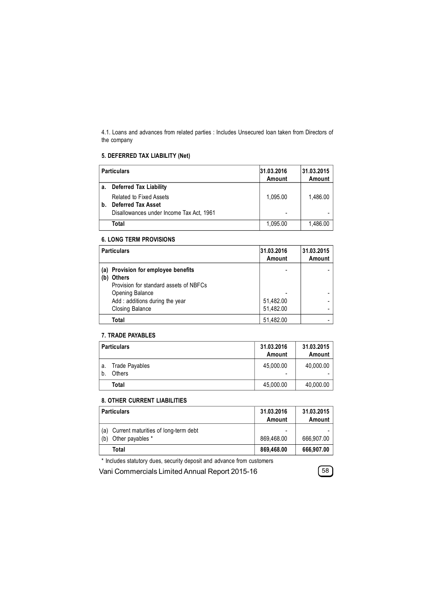4.1. Loans and advances from related parties : Includes Unsecured loan taken from Directors of the company

# **5. DEFERRED TAX LIABILITY (Net)**

|    | <b>Particulars</b>                                          | 31.03.2016<br>Amount | 31.03.2015<br>Amount |
|----|-------------------------------------------------------------|----------------------|----------------------|
| a. | <b>Deferred Tax Liability</b>                               |                      |                      |
| b. | <b>Related to Fixed Assets</b><br><b>Deferred Tax Asset</b> | 1.095.00             | 1,486.00             |
|    | Disallowances under Income Tax Act, 1961                    |                      |                      |
|    | Total                                                       | 1,095.00             | 1,486.00             |

## **6. LONG TERM PROVISIONS**

| <b>Particulars</b>                                                                                                                                                            | 31.03.2016<br>Amount   | 31.03.2015<br>Amount |
|-------------------------------------------------------------------------------------------------------------------------------------------------------------------------------|------------------------|----------------------|
| (a) Provision for employee benefits<br><b>Others</b><br>(b)<br>Provision for standard assets of NBFCs<br>Opening Balance<br>Add: additions during the year<br>Closing Balance | 51,482.00<br>51,482.00 |                      |
| Total                                                                                                                                                                         | 51,482.00              |                      |

### **7. TRADE PAYABLES**

|    | <b>Particulars</b>              | 31.03.2016<br>Amount                      | 31.03.2015<br>Amount |
|----|---------------------------------|-------------------------------------------|----------------------|
| a. | <b>Trade Payables</b><br>Others | 45.000.00<br>$\qquad \qquad \blacksquare$ | 40,000.00            |
|    | Total                           | 45,000.00                                 | 40,000.00            |

### **8. OTHER CURRENT LIABILITIES**

|            | <b>Particulars</b>                                       | 31.03.2016<br>Amount                   | 31.03.2015<br>Amount |
|------------|----------------------------------------------------------|----------------------------------------|----------------------|
| (a)<br>(b) | Current maturities of long-term debt<br>Other payables * | $\overline{\phantom{0}}$<br>869.468.00 | 666.907.00           |
|            | Total                                                    | 869,468.00                             | 666,907.00           |

\* Includes statutory dues, security deposit and advance from customers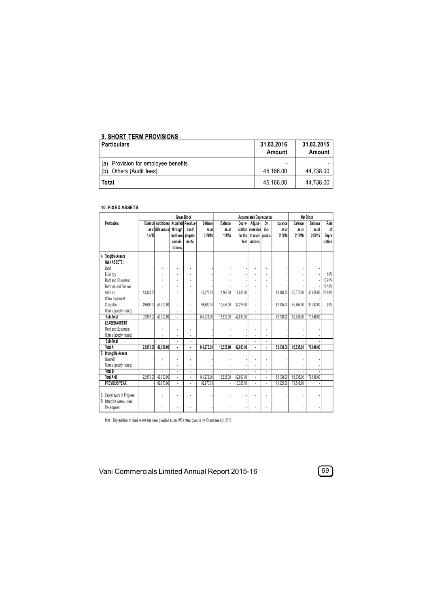# **9. SHORT TERM PROVISIONS**

| ∣ Particulars                                                        | 31.03.2016<br>Amount | 31.03.2015<br>Amount |
|----------------------------------------------------------------------|----------------------|----------------------|
| Provision for employee benefits<br>(a)<br>Others (Audit fees)<br>(b) | -<br>45.166.00       | 44.738.00            |
|                                                                      |                      |                      |
| Total                                                                | 45.166.00            | 44.738.00            |

## **10. FIXED ASSETS**

|                                                         | Gross Block |                            |                     |          |            | <b>Accumulated Depreciation</b> |           |                  |                | <b>Net Block</b> |           |           |         |
|---------------------------------------------------------|-------------|----------------------------|---------------------|----------|------------|---------------------------------|-----------|------------------|----------------|------------------|-----------|-----------|---------|
| Particulars                                             |             | <b>Balancel Additions/</b> | Acquired   Revalua- |          | Balance    | Balance                         | Depre-    | Adjust-          | On             | balance          | Balance   | Balance   | Rate    |
|                                                         |             | as at (Disposals)          | through             | tions    | as at      | as at                           | ciation   | ment due         | dis-           | as at            | as at     | as at     | of      |
|                                                         | 1/4/15      |                            | business            | (impair- | 31/3/16    | 1/4/15                          | for the   | to reval- posals |                | 31/3/16          | 31/3/16   | 31/3/15   | Depre   |
|                                                         |             |                            | combin-             | ments)   |            |                                 | Year      | uations          |                |                  |           |           | ciation |
|                                                         |             |                            | nations             |          |            |                                 |           |                  |                |                  |           |           |         |
| <b>Tangible Assets</b><br>Α<br>OWNASSETS:               |             |                            |                     |          |            |                                 |           |                  |                |                  |           |           |         |
| Land                                                    |             |                            |                     |          |            |                                 |           |                  |                |                  |           |           |         |
| <b>Buildings</b>                                        |             |                            |                     |          |            |                                 |           |                  |                |                  |           |           | 10%     |
| Plant and Equipment                                     |             |                            |                     |          |            |                                 |           |                  |                |                  |           |           | 13.91%  |
| Furniture and Fixtures                                  |             |                            |                     |          |            |                                 |           |                  |                |                  |           |           | 18.10%  |
| Vehicles                                                | 43.373.00   |                            |                     |          | 43.373.00  | 2.768.00                        | 10,535.00 |                  | ä,             | 13.303.00        | 30,070.00 | 40.605.00 | 25.89%  |
| Office equipment                                        |             |                            |                     |          |            |                                 |           |                  | ä,             |                  |           |           |         |
| Computers                                               | 49.600.00   | 49.000.00                  |                     |          | 98.600.00  | 10.557.00                       | 32.278.00 |                  | ٠              | 42.835.00        | 55.765.00 | 39.043.00 | 40%     |
| Others (specify nature)                                 |             |                            |                     |          |            |                                 |           |                  |                |                  |           |           |         |
| Sub-Total                                               | 92,973.00   | 49.000.00                  |                     | ä,       | 141.973.00 | 13,325.00                       | 42,813.00 |                  | l              | 56.138.00        | 85.835.00 | 79,648.00 |         |
| LEASEDASSETS:                                           |             |                            |                     |          |            |                                 |           |                  |                |                  |           |           |         |
| Plant and Equipment                                     |             |                            |                     |          |            |                                 |           |                  |                |                  |           |           |         |
| Others (specify nature)                                 |             |                            |                     |          |            |                                 |           |                  |                |                  |           |           |         |
| Sub-Total                                               |             |                            |                     |          |            |                                 |           |                  | ä,             |                  |           |           |         |
| Total A                                                 | 92,973.00   | 49.000.00                  |                     | ä,       | 141,973.00 | 13,325.00                       | 42,813.00 | ٠                | $\blacksquare$ | 56,138.00        | 85,835.00 | 79.648.00 |         |
| Intangible Assets<br>B                                  |             |                            |                     |          |            |                                 |           |                  |                |                  |           |           |         |
| Goodwill                                                |             |                            |                     |          |            |                                 |           |                  |                |                  |           |           |         |
| Others (specify nature)                                 |             |                            |                     |          |            |                                 |           |                  |                |                  |           |           |         |
| <b>Total B</b>                                          |             |                            | ÷.                  | ä,       |            | ä,                              |           |                  | ä,             |                  |           |           |         |
| Total A+B                                               | 92.973.00   | 49,000.00                  |                     | ä,       | 141.973.00 | 13.325.00                       | 42,813.00 |                  | ä,             | 56,138.00        | 85.835.00 | 79,648.00 |         |
| <b>PREVIOUS YEAR</b>                                    |             | 92,973.00                  |                     |          | 92.973.00  |                                 | 13,325.00 |                  |                | 13.325.00        | 79.648.00 |           |         |
| C Capital Work In Progress<br>D Intangible assets under |             |                            |                     |          |            |                                 |           |                  |                |                  |           |           |         |
| Development                                             |             |                            |                     |          |            |                                 |           |                  |                |                  |           |           |         |

Note : Depreciation on fixed assets has been provided as per WDV rates given in the Companies Act, 2 013.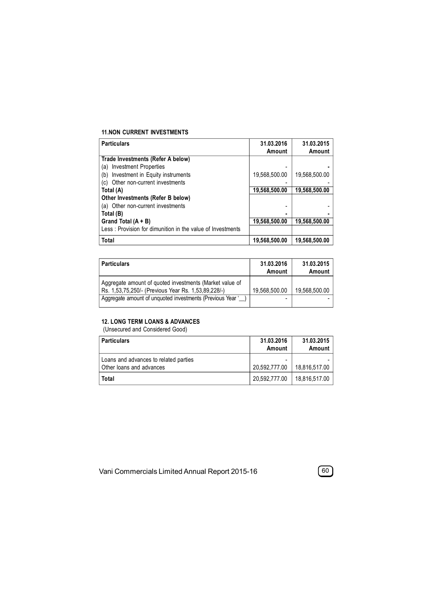## **11.NON CURRENT INVESTMENTS**

| <b>Particulars</b>                                         | 31.03.2016    | 31.03.2015    |
|------------------------------------------------------------|---------------|---------------|
|                                                            | Amount        | Amount        |
| Trade Investments (Refer A below)                          |               |               |
| <b>Investment Properties</b><br>(a)                        |               |               |
| Investment in Equity instruments<br>(b)                    | 19,568,500.00 | 19,568,500.00 |
| Other non-current investments<br>(c)                       |               |               |
| Total (A)                                                  | 19,568,500.00 | 19,568,500.00 |
| Other Investments (Refer B below)                          |               |               |
| (a) Other non-current investments                          |               |               |
| Total (B)                                                  |               |               |
| Grand Total $(A + B)$                                      | 19,568,500.00 | 19,568,500.00 |
| Less: Provision for dimunition in the value of Investments |               |               |
| Total                                                      | 19,568,500.00 | 19,568,500.00 |

| <b>Particulars</b>                                                                                             | 31.03.2016<br>Amount | 31.03.2015<br>Amount |
|----------------------------------------------------------------------------------------------------------------|----------------------|----------------------|
| Aggregate amount of quoted investments (Market value of<br>Rs. 1,53,75,250/- (Previous Year Rs. 1,53,89,228/-) | 19.568.500.00        | 19.568.500.00        |
| Aggregate amount of unquoted investments (Previous Year '                                                      | -                    |                      |

## **12. LONG TERM LOANS & ADVANCES**

(Unsecured and Considered Good)

| Particulars                                                       | 31.03.2016<br>Amount | 31.03.2015<br>Amount |
|-------------------------------------------------------------------|----------------------|----------------------|
| Loans and advances to related parties<br>Other loans and advances | 20.592.777.00        | 18.816.517.00        |
| Total                                                             | 20,592,777.00        | 18.816.517.00        |

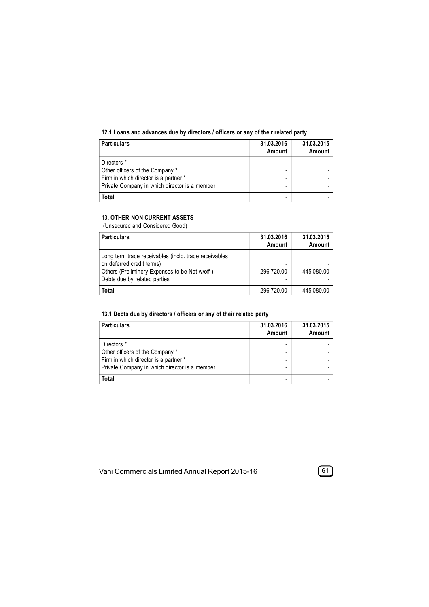## **12.1 Loans and advances due by directors / officers or any of their related party**

| <b>Particulars</b>                             | 31.03.2016<br>Amount | 31.03.2015<br>Amount |
|------------------------------------------------|----------------------|----------------------|
| Directors *<br>Other officers of the Company * |                      |                      |
| Firm in which director is a partner *          | -                    |                      |
| Private Company in which director is a member  | -                    |                      |
| Total                                          |                      |                      |

## **13. OTHER NON CURRENT ASSETS**

(Unsecured and Considered Good)

| Particulars                                                                                                                                                         | 31.03.2016<br>Amount | 31.03.2015<br>Amount |
|---------------------------------------------------------------------------------------------------------------------------------------------------------------------|----------------------|----------------------|
| Long term trade receivables (incld. trade receivables<br>on deferred credit terms)<br>Others (Preliminery Expenses to be Not w/off)<br>Debts due by related parties | 296,720.00           | 445.080.00           |
| Total                                                                                                                                                               | 296,720.00           | 445,080.00           |

## **13.1 Debts due by directors / officers or any of their related party**

| <b>Particulars</b>                                                       | 31.03.2016<br>Amount | 31.03.2015<br>Amount |
|--------------------------------------------------------------------------|----------------------|----------------------|
| Directors *                                                              |                      |                      |
| Other officers of the Company *<br>Firm in which director is a partner * |                      |                      |
| Private Company in which director is a member                            |                      |                      |
| Total                                                                    |                      |                      |

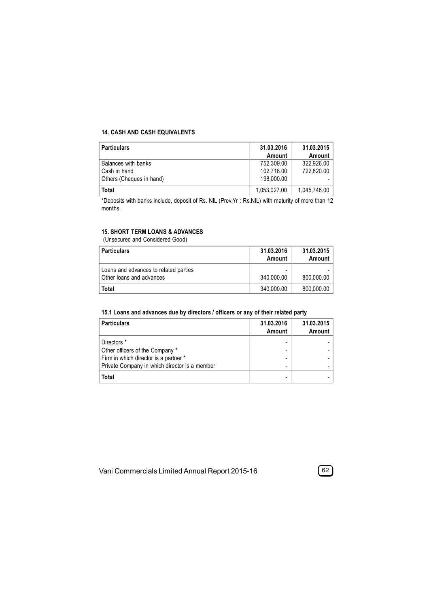### **14. CASH AND CASH EQUIVALENTS**

| <b>Particulars</b>       | 31.03.2016   | 31.03.2015   |
|--------------------------|--------------|--------------|
|                          | Amount       | Amount       |
| Balances with banks      | 752.309.00   | 322.926.00   |
| Cash in hand             | 102.718.00   | 722.820.00   |
| Others (Cheques in hand) | 198,000.00   |              |
| Total                    | 1,053,027.00 | 1,045,746.00 |

\*Deposits with banks include, deposit of Rs. NIL (Prev.Yr : Rs.NIL) with maturity of more than 12 months.

## **15. SHORT TERM LOANS & ADVANCES**

(Unsecured and Considered Good)

| <b>Particulars</b>                                                | 31.03.2016<br>Amount | 31.03.2015<br>Amount |
|-------------------------------------------------------------------|----------------------|----------------------|
| Loans and advances to related parties<br>Other loans and advances | 340.000.00           | 800.000.00           |
| Total                                                             | 340,000.00           | 800,000.00           |

## **15.1 Loans and advances due by directors / officers or any of their related party**

| <b>Particulars</b>                            | 31.03.2016<br>Amount     | 31.03.2015<br>Amount |
|-----------------------------------------------|--------------------------|----------------------|
| Directors *                                   |                          |                      |
| Other officers of the Company *               |                          |                      |
| Firm in which director is a partner *         | -                        |                      |
| Private Company in which director is a member | $\overline{\phantom{0}}$ |                      |
| Total                                         |                          |                      |

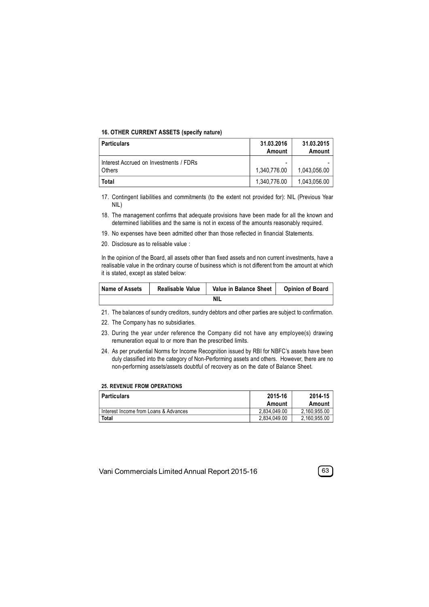#### **16. OTHER CURRENT ASSETS (specify nature)**

| <b>Particulars</b>                               | 31.03.2016<br>Amount | 31.03.2015<br>Amount |
|--------------------------------------------------|----------------------|----------------------|
| Interest Accrued on Investments / FDRs<br>Others | 1.340.776.00         | 1.043.056.00         |
| Total                                            | 1.340.776.00         | 1.043.056.00         |

17. Contingent liabilities and commitments (to the extent not provided for): NIL (Previous Year NIL)

- 18. The management confirms that adequate provisions have been made for all the known and determined liabilities and the same is not in excess of the amounts reasonably required.
- 19. No expenses have been admitted other than those reflected in financial Statements.
- 20. Disclosure as to relisable value :

In the opinion of the Board, all assets other than fixed assets and non current investments, have a realisable value in the ordinary course of business which is not different from the amount at which it is stated, except as stated below:

| Name of Assets | Realisable Value | Value in Balance Sheet | <b>Opinion of Board</b> |
|----------------|------------------|------------------------|-------------------------|
|                |                  | <b>NIL</b>             |                         |

21. The balances of sundry creditors, sundry debtors and other parties are subject to confirmation.

- 22. The Company has no subsidiaries.
- 23. During the year under reference the Company did not have any employee(s) drawing remuneration equal to or more than the prescribed limits.
- 24. As per prudential Norms for Income Recognition issued by RBI for NBFC's assets have been duly classified into the category of Non-Performing assets and others. However, there are no non-performing assets/assets doubtful of recovery as on the date of Balance Sheet.

#### **25. REVENUE FROM OPERATIONS**

| Particulars                           | 2015-16<br>Amount | 2014-15<br>Amount |
|---------------------------------------|-------------------|-------------------|
| Interest Income from Loans & Advances | 2.834.049.00      | 2.160.955.00      |
| Total                                 | 2.834.049.00      | 2,160,955.00      |

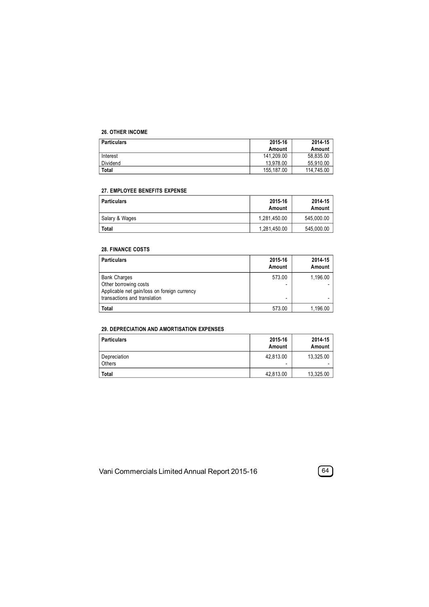#### **26. OTHER INCOME**

| <b>Particulars</b> | 2015-16    | 2014-15    |
|--------------------|------------|------------|
|                    | Amount     | Amount     |
| Interest           | 141.209.00 | 58,835.00  |
| Dividend           | 13.978.00  | 55.910.00  |
| <b>Total</b>       | 155.187.00 | 114.745.00 |

### **27. EMPLOYEE BENEFITS EXPENSE**

| <b>Particulars</b> | 2015-16<br>Amount | 2014-15<br>Amount |
|--------------------|-------------------|-------------------|
| Salary & Wages     | 1.281.450.00      | 545,000.00        |
| <b>Total</b>       | 1,281,450.00      | 545,000.00        |

### **28. FINANCE COSTS**

| <b>Particulars</b>                                                                                                           | 2015-16<br>Amount                  | 2014-15<br>Amount |
|------------------------------------------------------------------------------------------------------------------------------|------------------------------------|-------------------|
| <b>Bank Charges</b><br>Other borrowing costs<br>Applicable net gain/loss on foreign currency<br>transactions and translation | 573.00<br>$\overline{\phantom{0}}$ | 1,196.00          |
| <b>Total</b>                                                                                                                 | 573.00                             | 1,196.00          |

## **29. DEPRECIATION AND AMORTISATION EXPENSES**

| <b>Particulars</b>     | 2015-16<br>Amount | 2014-15<br>Amount |
|------------------------|-------------------|-------------------|
| Depreciation<br>Others | 42.813.00<br>۰    | 13,325.00         |
| Total                  | 42,813.00         | 13,325.00         |

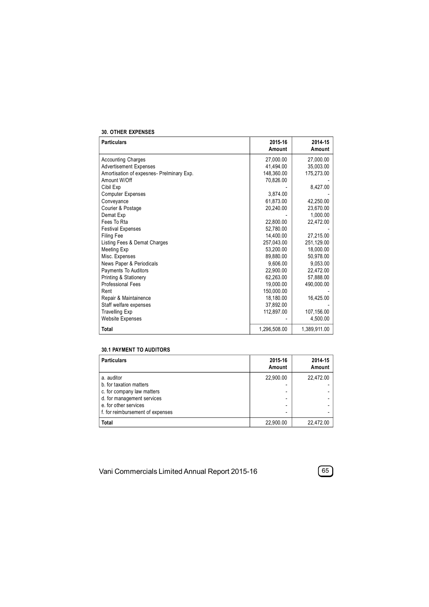#### **30. OTHER EXPENSES**

| <b>Particulars</b>                        | 2015-16<br>Amount | 2014-15<br>Amount |
|-------------------------------------------|-------------------|-------------------|
|                                           |                   |                   |
| <b>Accounting Charges</b>                 | 27,000.00         | 27,000.00         |
| <b>Advertisement Expenses</b>             | 41,494.00         | 35,003.00         |
| Amortisation of expesnes- Prelminary Exp. | 148,360.00        | 175,273.00        |
| Amount W/Off                              | 70,826.00         |                   |
| Cibil Exp                                 |                   | 8,427.00          |
| <b>Computer Expenses</b>                  | 3,874.00          |                   |
| Conveyance                                | 61.873.00         | 42.250.00         |
| Courier & Postage                         | 20,240.00         | 23,670.00         |
| Demat Exp                                 |                   | 1.000.00          |
| Fees To Rta                               | 22,800.00         | 22,472.00         |
| <b>Festival Expenses</b>                  | 52,780.00         |                   |
| <b>Filing Fee</b>                         | 14.400.00         | 27,215.00         |
| Listing Fees & Demat Charges              | 257,043.00        | 251,129.00        |
| Meeting Exp                               | 53.200.00         | 18.000.00         |
| Misc. Expenses                            | 89.880.00         | 50,978.00         |
| News Paper & Periodicals                  | 9.606.00          | 9.053.00          |
| Payments To Auditors                      | 22,900.00         | 22,472.00         |
| Printing & Stationery                     | 62,263.00         | 57,888.00         |
| <b>Professional Fees</b>                  | 19.000.00         | 490,000.00        |
| Rent                                      | 150,000.00        |                   |
| Repair & Maintainence                     | 18,180.00         | 16,425.00         |
| Staff welfare expenses                    | 37.892.00         |                   |
| <b>Travelling Exp</b>                     | 112,897.00        | 107,156.00        |
| <b>Website Expenses</b>                   |                   | 4,500.00          |
| <b>Total</b>                              | 1,296,508.00      | 1,389,911.00      |

### **30.1 PAYMENT TO AUDITORS**

| <b>Particulars</b>               | 2015-16<br>Amount        | 2014-15<br>Amount |
|----------------------------------|--------------------------|-------------------|
| a. auditor                       | 22.900.00                | 22.472.00         |
| b. for taxation matters          |                          |                   |
| c. for company law matters       | $\overline{\phantom{0}}$ |                   |
| d. for management services       | $\overline{\phantom{0}}$ |                   |
| e. for other services            |                          |                   |
| f. for reimbursement of expenses | ۰                        |                   |
| <b>Total</b>                     | 22.900.00                | 22.472.00         |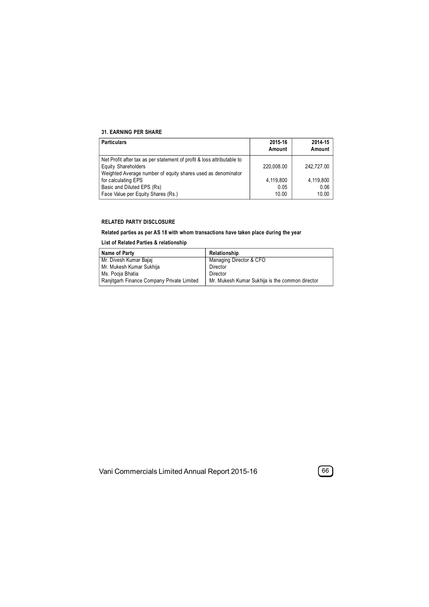#### **31. EARNING PER SHARE**

| <b>Particulars</b>                                                     | 2015-16<br>Amount | 2014-15<br>Amount |
|------------------------------------------------------------------------|-------------------|-------------------|
| Net Profit after tax as per statement of profit & loss attributable to |                   |                   |
| <b>Equity Shareholders</b>                                             | 220.008.00        | 242.727.00        |
| Weighted Average number of equity shares used as denominator           |                   |                   |
| for calculating EPS                                                    | 4,119,800         | 4,119,800         |
| Basic and Diluted EPS (Rs)                                             | 0.05              | 0.06              |
| Face Value per Equity Shares (Rs.)                                     | 10.00             | 10.00             |

### **RELATED PARTY DISCLOSURE**

### **Related parties as per AS 18 with whom transactions have taken place during the year**

### **List of Related Parties & relationship**

| Name of Party                              | Relationship                                    |
|--------------------------------------------|-------------------------------------------------|
| Mr. Divesh Kumar Bajaj                     | Managing Director & CFO                         |
| Mr. Mukesh Kumar Sukhija                   | Director                                        |
| Ms. Pooja Bhatia                           | Director                                        |
| Ranjitgarh Finance Company Private Limited | Mr. Mukesh Kumar Sukhija is the common director |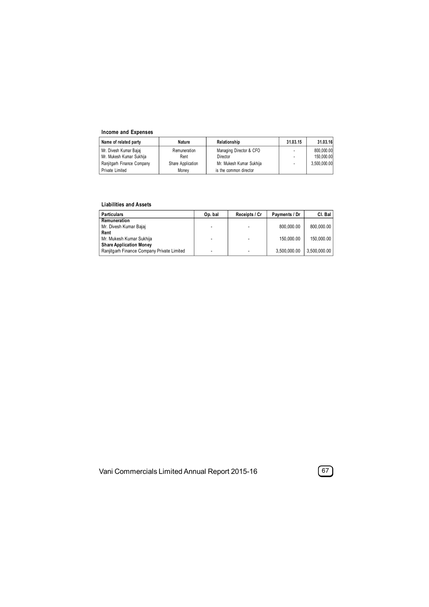## **Income and Expenses**

| Name of related party      | Nature            | Relationship             | 31.03.15                 | 31.03.16     |
|----------------------------|-------------------|--------------------------|--------------------------|--------------|
| Mr. Divesh Kumar Bajaj     | Remuneration      | Managing Director & CFO  | $\overline{\phantom{a}}$ | 800.000.00   |
| Mr. Mukesh Kumar Sukhija   | Rent              | Director                 |                          | 150.000.00   |
| Ranjitgarh Finance Company | Share Application | Mr. Mukesh Kumar Sukhija |                          | 3.500.000.00 |
| Private Limited            | Monev             | is the common director   |                          |              |

#### **Liabilities and Assets**

| <b>Particulars</b>                         | Op. bal | Receipts / Cr | Payments / Dr | CI. Bal      |
|--------------------------------------------|---------|---------------|---------------|--------------|
| Remuneration                               |         |               |               |              |
| Mr. Divesh Kumar Bajaj                     |         |               | 800.000.00    | 800.000.00   |
| Rent                                       |         |               |               |              |
| Mr. Mukesh Kumar Sukhija                   |         |               | 150,000.00    | 150,000.00   |
| <b>Share Application Money</b>             |         |               |               |              |
| Ranjitgarh Finance Company Private Limited |         |               | 3.500.000.00  | 3,500,000.00 |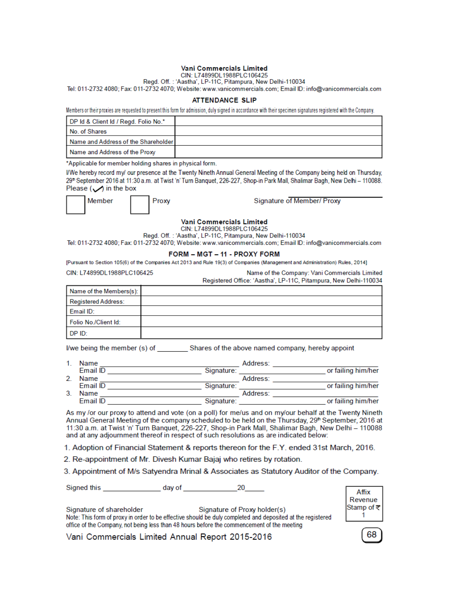#### Vani Commercials Limited

CIN: L74899DL1988PLC106425<br>Regd. Off. : 'Aastha', LP-11C, Pitampura, New Delhi-110034

Tel: 011-2732 4080; Fax: 011-2732 4070; Website: www.vanicommercials.com; Email ID: info@vanicommercials.com

#### **ATTENDANCE SLIP**

Members or their proxies are requested to present this form for admission, duly signed in accordance with their specimen signatures registered with the Company.

| DP Id & Client Id / Regd. Folio No.*    |  |
|-----------------------------------------|--|
| No. of Shares                           |  |
| l Name and Address of the Shareholder I |  |
| Name and Address of the Proxy           |  |

\*Applicable for member holding shares in physical form.

I/We hereby record my/ our presence at the Twenty Nineth Annual General Meeting of the Company being held on Thursday, 29<sup>th</sup> September 2016 at 11:30 a.m. at Twist 'n' Turn Banquet, 226-227, Shop-in Park Mall, Shalimar Bagh, New Delhi - 110088. Please  $\left(\bigvee\right)$  in the box

| Member | <b>Proxy</b> |  |  |
|--------|--------------|--|--|
|        |              |  |  |

Signature of Member/ Proxy

Vani Commercials Limited

CIN: L74899DL1988PLC106425

Regd. Off.: 'Aastha', LP-11C, Pitampura, New Delhi-110034

Tel: 011-2732 4080; Fax: 011-2732 4070; Website: www.vanicommercials.com; Email ID: info@vanicommercials.com

#### FORM - MGT - 11 - PROXY FORM

[Pursuant to Section 105(6) of the Companies Act 2013 and Rule 19(3) of Companies (Management and Administration) Rules, 2014]

CIN: L74899DL1988PLC106425 Name of the Company: Vani Commercials Limited Registered Office: 'Aastha', LP-11C, Pitampura, New Delhi-110034 Name of the Members(s):  $\mathbf{A}$  and  $\mathbf{A}$ 

| Registered Address.  |  |
|----------------------|--|
| Email ID:            |  |
| Folio No./Client Id: |  |
| DP ID:               |  |

|    | Name     |            | Address: |                    |
|----|----------|------------|----------|--------------------|
|    | Email ID | Signature: |          | or failing him/her |
|    | Name     |            | Address: |                    |
|    | Email ID | Signature: |          | or failing him/her |
| 3. | Name     |            | Address: |                    |
|    | Email ID | Signature: |          | or failing him/her |

As my /or our proxy to attend and vote (on a poll) for me/us and on my/our behalf at the Twenty Nineth Annual General Meeting of the company scheduled to be held on the Thursday, 29<sup>th</sup> September, 2016 at 11:30 a.m. at Twist 'n' Turn Banquet, 226-227, Shop-in Park Mall, Shalimar Bagh, New Delhi - 110088 and at any adjournment thereof in respect of such resolutions as are indicated below:

1. Adoption of Financial Statement & reports thereon for the F.Y. ended 31st March, 2016.

2. Re-appointment of Mr. Divesh Kumar Bajaj who retires by rotation.

3. Appointment of M/s Satyendra Mrinal & Associates as Statutory Auditor of the Company.

| Signature of shareholder | Signature of Proxy holder(s)                                                                               |
|--------------------------|------------------------------------------------------------------------------------------------------------|
|                          | Note: This form of proxy in order to be effective should be duly completed and deposited at the registered |
|                          | office of the Company, not being less than 48 hours before the commencement of the meeting                 |

Vani Commercials Limited Annual Report 2015-2016



68

Affix Revenue